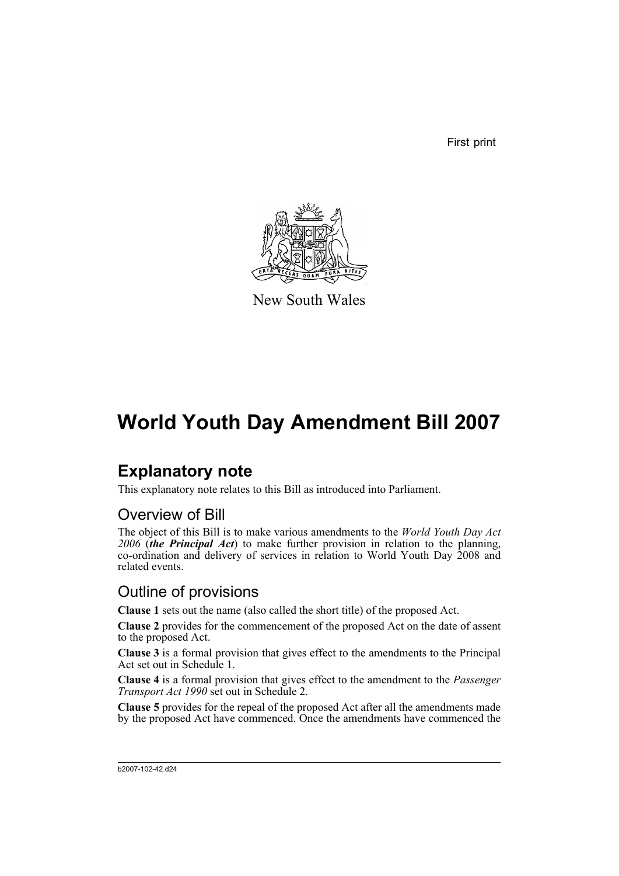First print



New South Wales

# **World Youth Day Amendment Bill 2007**

# **Explanatory note**

This explanatory note relates to this Bill as introduced into Parliament.

# Overview of Bill

The object of this Bill is to make various amendments to the *World Youth Day Act 2006* (*the Principal Act*) to make further provision in relation to the planning, co-ordination and delivery of services in relation to World Youth Day 2008 and related events.

# Outline of provisions

**Clause 1** sets out the name (also called the short title) of the proposed Act.

**Clause 2** provides for the commencement of the proposed Act on the date of assent to the proposed Act.

**Clause 3** is a formal provision that gives effect to the amendments to the Principal Act set out in Schedule 1.

**Clause 4** is a formal provision that gives effect to the amendment to the *Passenger Transport Act 1990* set out in Schedule 2.

**Clause 5** provides for the repeal of the proposed Act after all the amendments made by the proposed Act have commenced. Once the amendments have commenced the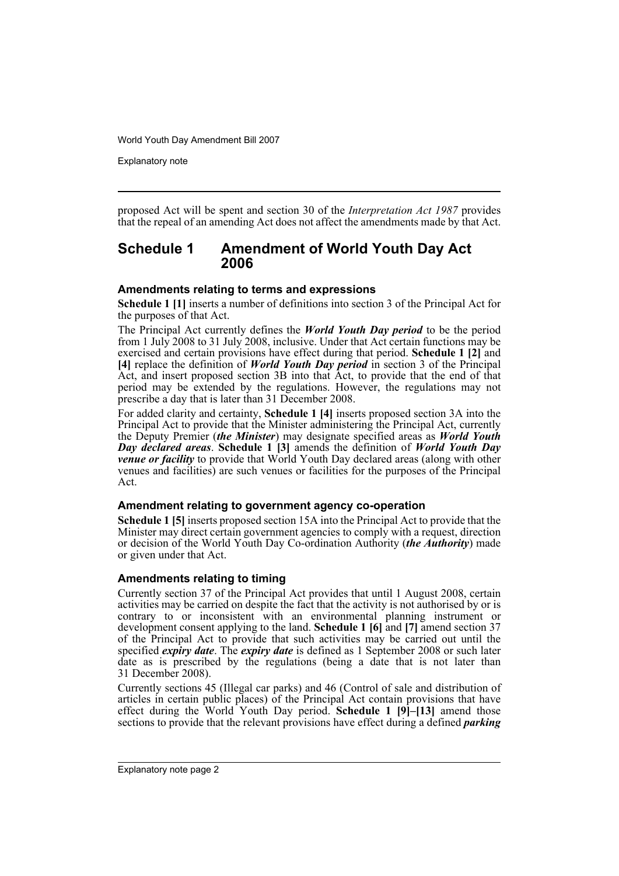Explanatory note

proposed Act will be spent and section 30 of the *Interpretation Act 1987* provides that the repeal of an amending Act does not affect the amendments made by that Act.

## **Schedule 1 Amendment of World Youth Day Act 2006**

### **Amendments relating to terms and expressions**

**Schedule 1 [1]** inserts a number of definitions into section 3 of the Principal Act for the purposes of that Act.

The Principal Act currently defines the *World Youth Day period* to be the period from 1 July 2008 to 31 July 2008, inclusive. Under that Act certain functions may be exercised and certain provisions have effect during that period. **Schedule 1 [2]** and **[4]** replace the definition of *World Youth Day period* in section 3 of the Principal Act, and insert proposed section 3B into that Act, to provide that the end of that period may be extended by the regulations. However, the regulations may not prescribe a day that is later than 31 December 2008.

For added clarity and certainty, **Schedule 1 [4]** inserts proposed section 3A into the Principal Act to provide that the Minister administering the Principal Act, currently the Deputy Premier (*the Minister*) may designate specified areas as *World Youth Day declared areas*. **Schedule 1 [3]** amends the definition of *World Youth Day venue or facility* to provide that World Youth Day declared areas (along with other venues and facilities) are such venues or facilities for the purposes of the Principal Act.

### **Amendment relating to government agency co-operation**

**Schedule 1 [5]** inserts proposed section 15A into the Principal Act to provide that the Minister may direct certain government agencies to comply with a request, direction or decision of the World Youth Day Co-ordination Authority (*the Authority*) made or given under that Act.

### **Amendments relating to timing**

Currently section 37 of the Principal Act provides that until 1 August 2008, certain activities may be carried on despite the fact that the activity is not authorised by or is contrary to or inconsistent with an environmental planning instrument or development consent applying to the land. **Schedule 1 [6]** and **[7]** amend section 37 of the Principal Act to provide that such activities may be carried out until the specified *expiry date*. The *expiry date* is defined as 1 September 2008 or such later date as is prescribed by the regulations (being a date that is not later than 31 December 2008).

Currently sections 45 (Illegal car parks) and 46 (Control of sale and distribution of articles in certain public places) of the Principal Act contain provisions that have effect during the World Youth Day period. **Schedule 1 [9]–[13]** amend those sections to provide that the relevant provisions have effect during a defined *parking*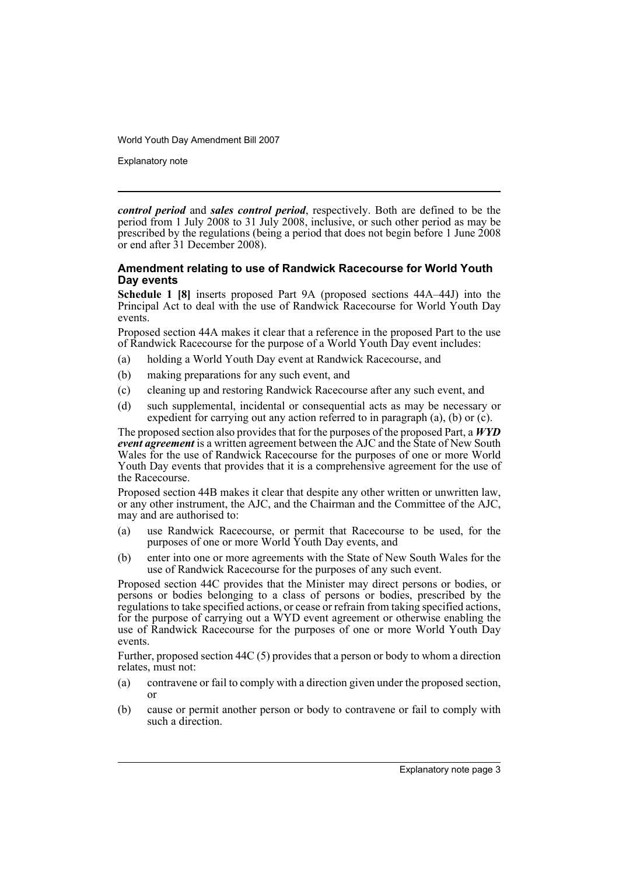Explanatory note

*control period* and *sales control period*, respectively. Both are defined to be the period from 1 July 2008 to 31 July 2008, inclusive, or such other period as may be prescribed by the regulations (being a period that does not begin before 1 June 2008 or end after 31 December 2008).

### **Amendment relating to use of Randwick Racecourse for World Youth Day events**

**Schedule 1 [8]** inserts proposed Part 9A (proposed sections 44A–44J) into the Principal Act to deal with the use of Randwick Racecourse for World Youth Day events.

Proposed section 44A makes it clear that a reference in the proposed Part to the use of Randwick Racecourse for the purpose of a World Youth Day event includes:

- (a) holding a World Youth Day event at Randwick Racecourse, and
- (b) making preparations for any such event, and
- (c) cleaning up and restoring Randwick Racecourse after any such event, and
- (d) such supplemental, incidental or consequential acts as may be necessary or expedient for carrying out any action referred to in paragraph (a), (b) or (c).

The proposed section also provides that for the purposes of the proposed Part, a *WYD event agreement* is a written agreement between the AJC and the State of New South Wales for the use of Randwick Racecourse for the purposes of one or more World Youth Day events that provides that it is a comprehensive agreement for the use of the Racecourse.

Proposed section 44B makes it clear that despite any other written or unwritten law, or any other instrument, the AJC, and the Chairman and the Committee of the AJC, may and are authorised to:

- (a) use Randwick Racecourse, or permit that Racecourse to be used, for the purposes of one or more World Youth Day events, and
- (b) enter into one or more agreements with the State of New South Wales for the use of Randwick Racecourse for the purposes of any such event.

Proposed section 44C provides that the Minister may direct persons or bodies, or persons or bodies belonging to a class of persons or bodies, prescribed by the regulations to take specified actions, or cease or refrain from taking specified actions, for the purpose of carrying out a WYD event agreement or otherwise enabling the use of Randwick Racecourse for the purposes of one or more World Youth Day events.

Further, proposed section 44C (5) provides that a person or body to whom a direction relates, must not:

- (a) contravene or fail to comply with a direction given under the proposed section, or
- (b) cause or permit another person or body to contravene or fail to comply with such a direction.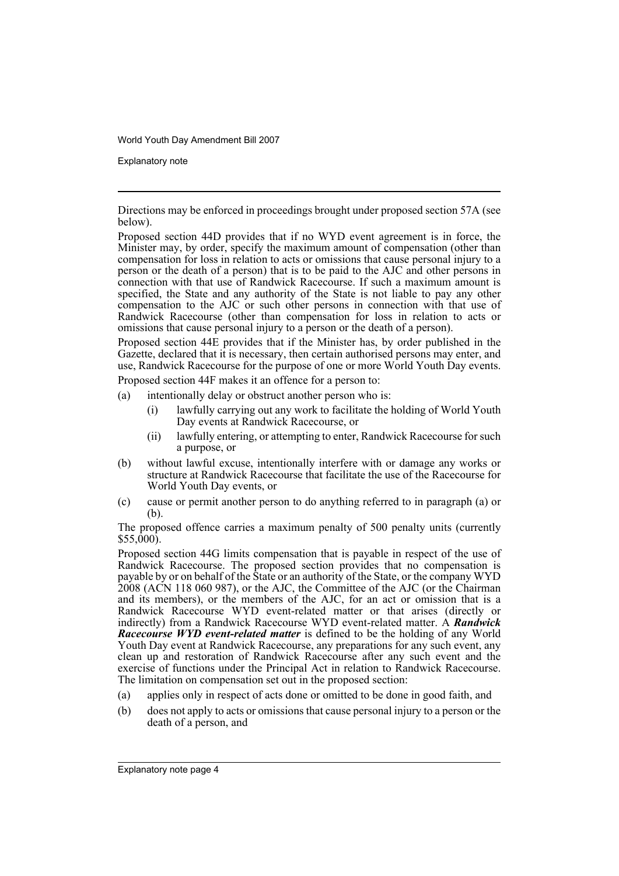Explanatory note

Directions may be enforced in proceedings brought under proposed section 57A (see below).

Proposed section 44D provides that if no WYD event agreement is in force, the Minister may, by order, specify the maximum amount of compensation (other than compensation for loss in relation to acts or omissions that cause personal injury to a person or the death of a person) that is to be paid to the AJC and other persons in connection with that use of Randwick Racecourse. If such a maximum amount is specified, the State and any authority of the State is not liable to pay any other compensation to the AJC or such other persons in connection with that use of Randwick Racecourse (other than compensation for loss in relation to acts or omissions that cause personal injury to a person or the death of a person).

Proposed section 44E provides that if the Minister has, by order published in the Gazette, declared that it is necessary, then certain authorised persons may enter, and use, Randwick Racecourse for the purpose of one or more World Youth Day events.

Proposed section 44F makes it an offence for a person to:

- (a) intentionally delay or obstruct another person who is:
	- (i) lawfully carrying out any work to facilitate the holding of World Youth Day events at Randwick Racecourse, or
	- (ii) lawfully entering, or attempting to enter, Randwick Racecourse for such a purpose, or
- (b) without lawful excuse, intentionally interfere with or damage any works or structure at Randwick Racecourse that facilitate the use of the Racecourse for World Youth Day events, or
- (c) cause or permit another person to do anything referred to in paragraph (a) or (b).

The proposed offence carries a maximum penalty of 500 penalty units (currently  $$55,000$ .

Proposed section 44G limits compensation that is payable in respect of the use of Randwick Racecourse. The proposed section provides that no compensation is payable by or on behalf of the State or an authority of the State, or the company WYD 2008 (ACN 118 060 987), or the AJC, the Committee of the AJC (or the Chairman and its members), or the members of the AJC, for an act or omission that is a Randwick Racecourse WYD event-related matter or that arises (directly or indirectly) from a Randwick Racecourse WYD event-related matter. A *Randwick Racecourse WYD event-related matter* is defined to be the holding of any World Youth Day event at Randwick Racecourse, any preparations for any such event, any clean up and restoration of Randwick Racecourse after any such event and the exercise of functions under the Principal Act in relation to Randwick Racecourse. The limitation on compensation set out in the proposed section:

- (a) applies only in respect of acts done or omitted to be done in good faith, and
- (b) does not apply to acts or omissions that cause personal injury to a person or the death of a person, and

Explanatory note page 4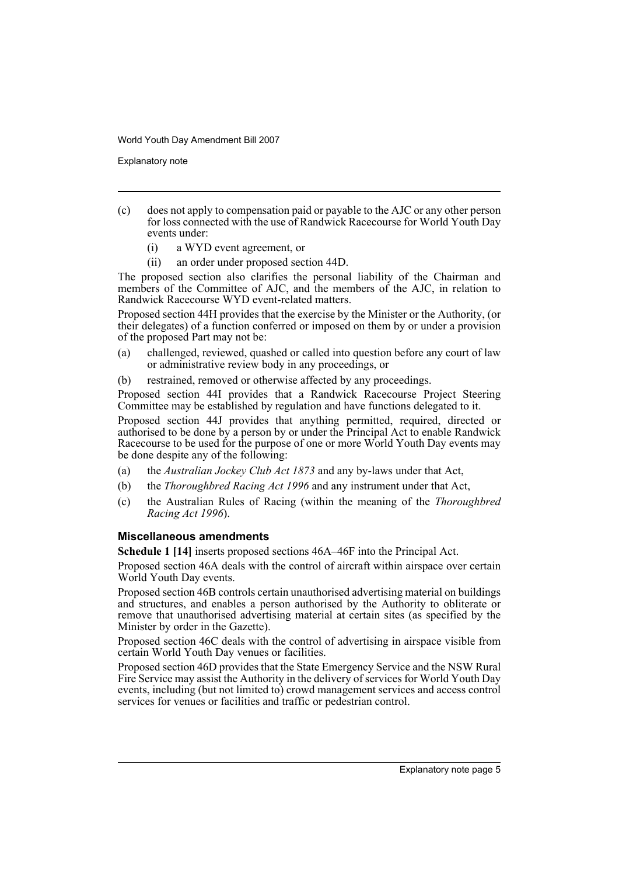Explanatory note

- (c) does not apply to compensation paid or payable to the AJC or any other person for loss connected with the use of Randwick Racecourse for World Youth Day events under:
	- (i) a WYD event agreement, or
	- (ii) an order under proposed section 44D.

The proposed section also clarifies the personal liability of the Chairman and members of the Committee of AJC, and the members of the AJC, in relation to Randwick Racecourse WYD event-related matters.

Proposed section 44H provides that the exercise by the Minister or the Authority, (or their delegates) of a function conferred or imposed on them by or under a provision of the proposed Part may not be:

- (a) challenged, reviewed, quashed or called into question before any court of law or administrative review body in any proceedings, or
- (b) restrained, removed or otherwise affected by any proceedings.

Proposed section 44I provides that a Randwick Racecourse Project Steering Committee may be established by regulation and have functions delegated to it.

Proposed section 44J provides that anything permitted, required, directed or authorised to be done by a person by or under the Principal Act to enable Randwick Racecourse to be used for the purpose of one or more World Youth Day events may be done despite any of the following:

- (a) the *Australian Jockey Club Act 1873* and any by-laws under that Act,
- (b) the *Thoroughbred Racing Act 1996* and any instrument under that Act,
- (c) the Australian Rules of Racing (within the meaning of the *Thoroughbred Racing Act 1996*).

### **Miscellaneous amendments**

**Schedule 1 [14]** inserts proposed sections 46A–46F into the Principal Act.

Proposed section 46A deals with the control of aircraft within airspace over certain World Youth Day events.

Proposed section 46B controls certain unauthorised advertising material on buildings and structures, and enables a person authorised by the Authority to obliterate or remove that unauthorised advertising material at certain sites (as specified by the Minister by order in the Gazette).

Proposed section 46C deals with the control of advertising in airspace visible from certain World Youth Day venues or facilities.

Proposed section 46D provides that the State Emergency Service and the NSW Rural Fire Service may assist the Authority in the delivery of services for World Youth Day events, including (but not limited to) crowd management services and access control services for venues or facilities and traffic or pedestrian control.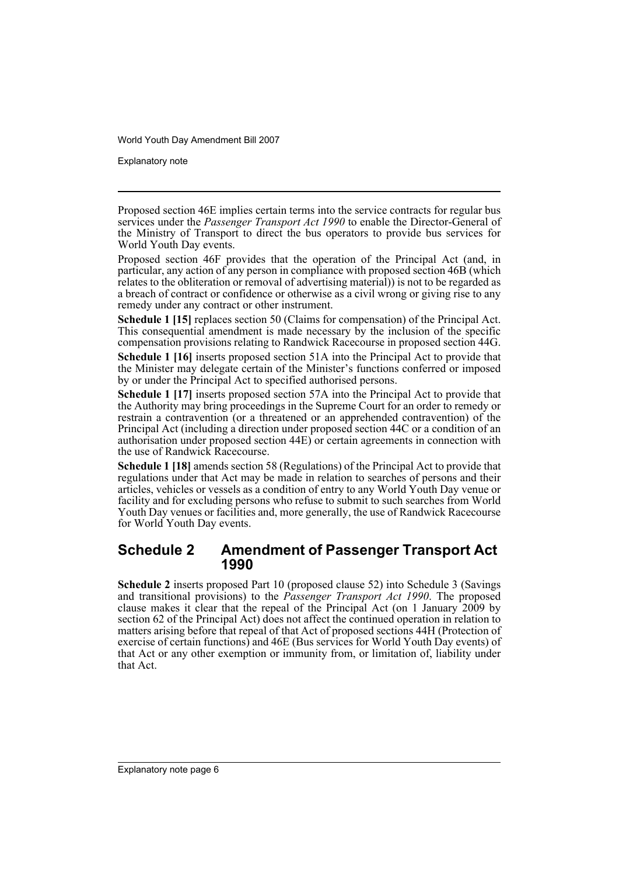Explanatory note

Proposed section 46E implies certain terms into the service contracts for regular bus services under the *Passenger Transport Act 1990* to enable the Director-General of the Ministry of Transport to direct the bus operators to provide bus services for World Youth Day events.

Proposed section 46F provides that the operation of the Principal Act (and, in particular, any action of any person in compliance with proposed section 46B (which relates to the obliteration or removal of advertising material)) is not to be regarded as a breach of contract or confidence or otherwise as a civil wrong or giving rise to any remedy under any contract or other instrument.

**Schedule 1 [15]** replaces section 50 (Claims for compensation) of the Principal Act. This consequential amendment is made necessary by the inclusion of the specific compensation provisions relating to Randwick Racecourse in proposed section 44G.

**Schedule 1 [16]** inserts proposed section 51A into the Principal Act to provide that the Minister may delegate certain of the Minister's functions conferred or imposed by or under the Principal Act to specified authorised persons.

**Schedule 1 [17]** inserts proposed section 57A into the Principal Act to provide that the Authority may bring proceedings in the Supreme Court for an order to remedy or restrain a contravention (or a threatened or an apprehended contravention) of the Principal Act (including a direction under proposed section 44C or a condition of an authorisation under proposed section 44E) or certain agreements in connection with the use of Randwick Racecourse.

**Schedule 1 [18]** amends section 58 (Regulations) of the Principal Act to provide that regulations under that Act may be made in relation to searches of persons and their articles, vehicles or vessels as a condition of entry to any World Youth Day venue or facility and for excluding persons who refuse to submit to such searches from World Youth Day venues or facilities and, more generally, the use of Randwick Racecourse for World Youth Day events.

# **Schedule 2 Amendment of Passenger Transport Act 1990**

**Schedule 2** inserts proposed Part 10 (proposed clause 52) into Schedule 3 (Savings and transitional provisions) to the *Passenger Transport Act 1990*. The proposed clause makes it clear that the repeal of the Principal Act (on 1 January 2009 by section 62 of the Principal Act) does not affect the continued operation in relation to matters arising before that repeal of that Act of proposed sections 44H (Protection of exercise of certain functions) and 46E (Bus services for World Youth Day events) of that Act or any other exemption or immunity from, or limitation of, liability under that Act.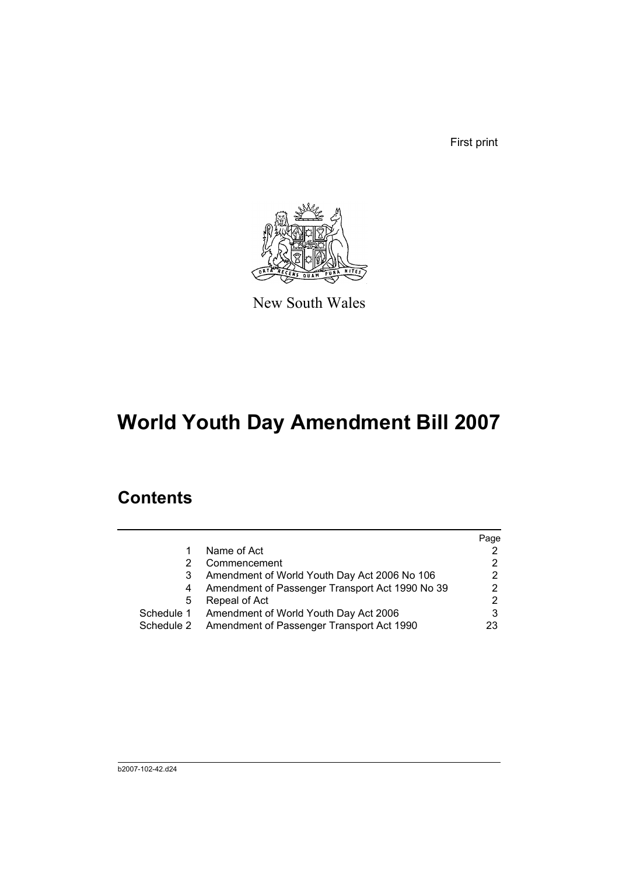First print



New South Wales

# **World Youth Day Amendment Bill 2007**

# **Contents**

|            |                                                 | Page |
|------------|-------------------------------------------------|------|
|            | Name of Act                                     |      |
|            | Commencement                                    |      |
|            | Amendment of World Youth Day Act 2006 No 106    | 2    |
|            | Amendment of Passenger Transport Act 1990 No 39 |      |
| 5          | Repeal of Act                                   | 2    |
| Schedule 1 | Amendment of World Youth Day Act 2006           |      |
| Schedule 2 | Amendment of Passenger Transport Act 1990       | 23   |
|            |                                                 |      |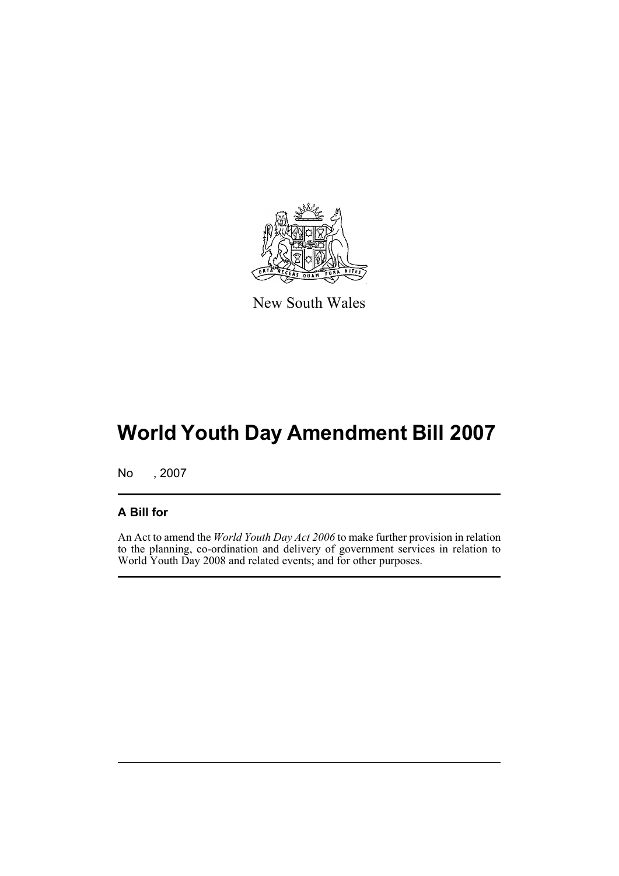

New South Wales

# **World Youth Day Amendment Bill 2007**

No , 2007

## **A Bill for**

An Act to amend the *World Youth Day Act 2006* to make further provision in relation to the planning, co-ordination and delivery of government services in relation to World Youth Day 2008 and related events; and for other purposes.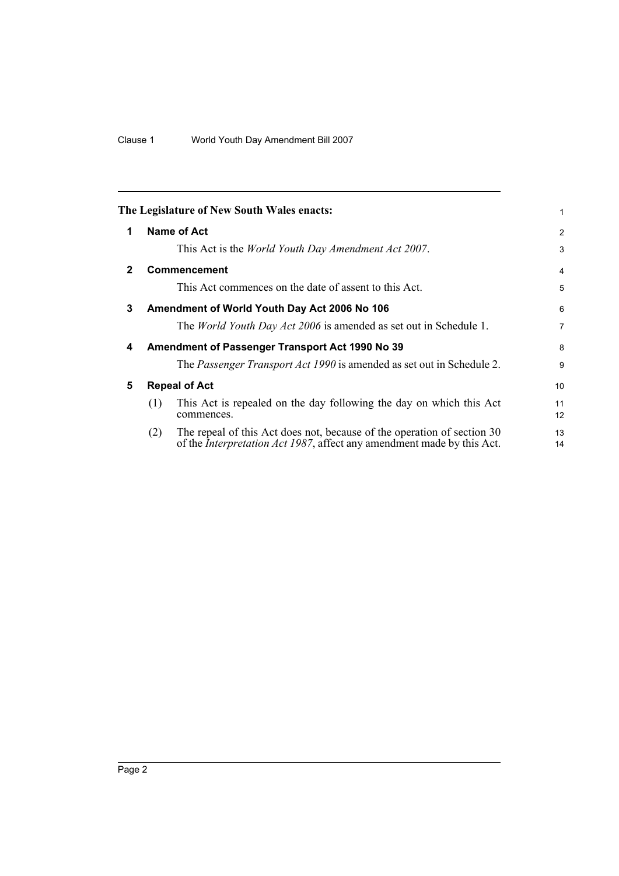<span id="page-9-4"></span><span id="page-9-3"></span><span id="page-9-2"></span><span id="page-9-1"></span><span id="page-9-0"></span>

|              | The Legislature of New South Wales enacts:                                                                                                                       | 1              |
|--------------|------------------------------------------------------------------------------------------------------------------------------------------------------------------|----------------|
| 1            | Name of Act                                                                                                                                                      | 2              |
|              | This Act is the <i>World Youth Day Amendment Act 2007</i> .                                                                                                      | 3              |
| $\mathbf{2}$ | <b>Commencement</b>                                                                                                                                              | 4              |
|              | This Act commences on the date of assent to this Act.                                                                                                            | 5              |
| 3            | Amendment of World Youth Day Act 2006 No 106                                                                                                                     | 6              |
|              | The <i>World Youth Day Act 2006</i> is amended as set out in Schedule 1.                                                                                         | $\overline{7}$ |
| 4            | Amendment of Passenger Transport Act 1990 No 39                                                                                                                  | 8              |
|              | The Passenger Transport Act 1990 is amended as set out in Schedule 2.                                                                                            | 9              |
| 5            | <b>Repeal of Act</b>                                                                                                                                             | 10             |
|              | This Act is repealed on the day following the day on which this Act<br>(1)<br>commences.                                                                         | 11<br>12       |
|              | The repeal of this Act does not, because of the operation of section 30<br>(2)<br>of the <i>Interpretation Act 1987</i> , affect any amendment made by this Act. | 13<br>14       |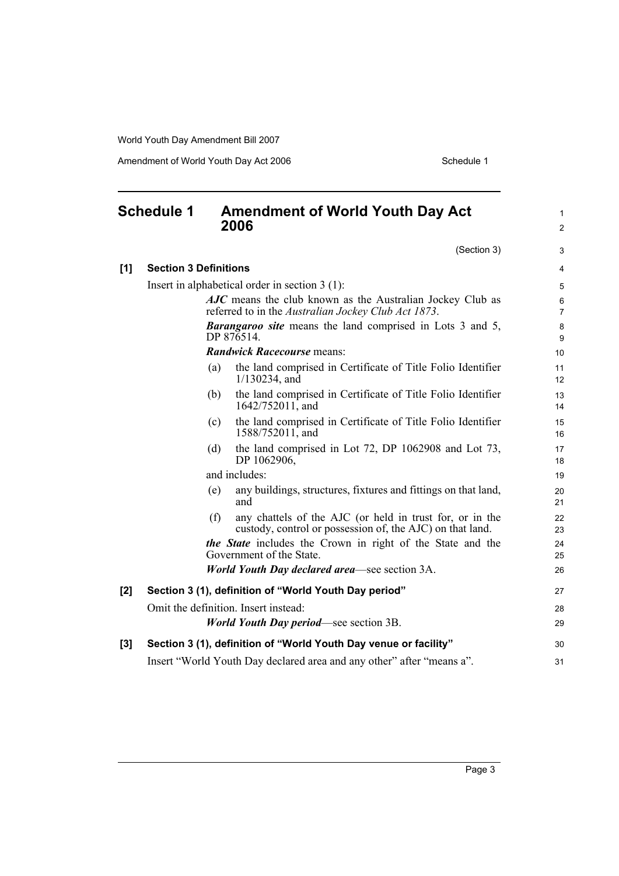Amendment of World Youth Day Act 2006 Schedule 1

### <span id="page-10-0"></span>**Schedule 1 Amendment of World Youth Day Act 2006** (Section 3) **[1] Section 3 Definitions** Insert in alphabetical order in section 3 (1): *AJC* means the club known as the Australian Jockey Club as referred to in the *Australian Jockey Club Act 1873*. *Barangaroo site* means the land comprised in Lots 3 and 5, DP 876514. *Randwick Racecourse* means: (a) the land comprised in Certificate of Title Folio Identifier 1/130234, and (b) the land comprised in Certificate of Title Folio Identifier 1642/752011, and (c) the land comprised in Certificate of Title Folio Identifier 1588/752011, and (d) the land comprised in Lot 72, DP 1062908 and Lot 73, DP 1062906, and includes: (e) any buildings, structures, fixtures and fittings on that land, and (f) any chattels of the AJC (or held in trust for, or in the custody, control or possession of, the AJC) on that land. *the State* includes the Crown in right of the State and the Government of the State. *World Youth Day declared area*—see section 3A. **[2] Section 3 (1), definition of "World Youth Day period"** Omit the definition. Insert instead: *World Youth Day period*—see section 3B. **[3] Section 3 (1), definition of "World Youth Day venue or facility"** Insert "World Youth Day declared area and any other" after "means a". 1 2 3 4 5 6 7 8 9 10 11 12 13 14 15 16 17 18 19 20 21 22 23  $24$ 25 26 27 28 29 30 31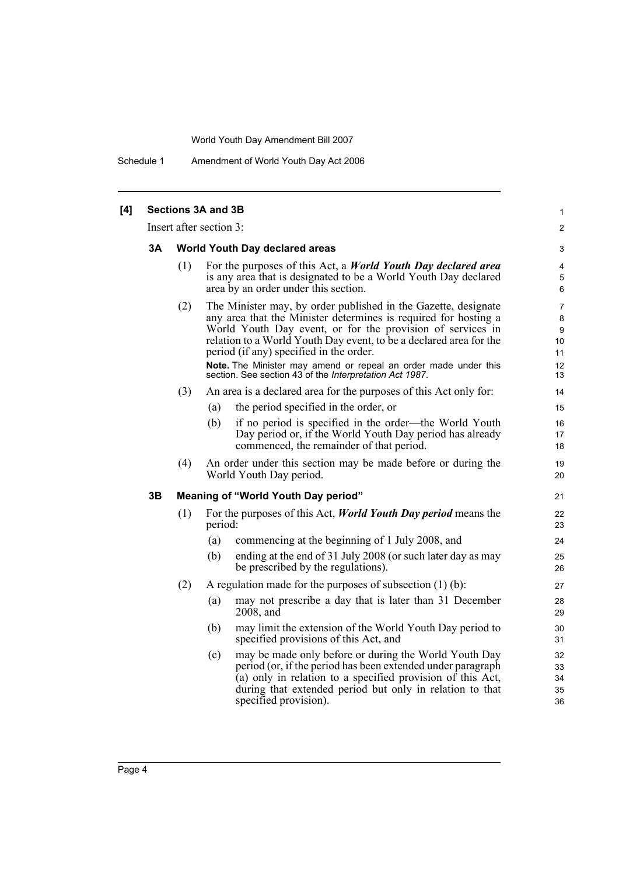Schedule 1 Amendment of World Youth Day Act 2006

| [4] | <b>Sections 3A and 3B</b> |     |                         |                                                                                                                                                                                                                                                                                                                                                                                                                                                |                                                  |  |  |
|-----|---------------------------|-----|-------------------------|------------------------------------------------------------------------------------------------------------------------------------------------------------------------------------------------------------------------------------------------------------------------------------------------------------------------------------------------------------------------------------------------------------------------------------------------|--------------------------------------------------|--|--|
|     |                           |     | Insert after section 3: |                                                                                                                                                                                                                                                                                                                                                                                                                                                | $\overline{2}$                                   |  |  |
|     | 3A                        |     |                         | World Youth Day declared areas                                                                                                                                                                                                                                                                                                                                                                                                                 | 3                                                |  |  |
|     |                           | (1) |                         | For the purposes of this Act, a <i>World Youth Day declared area</i><br>is any area that is designated to be a World Youth Day declared<br>area by an order under this section.                                                                                                                                                                                                                                                                | 4<br>5<br>6                                      |  |  |
|     |                           | (2) |                         | The Minister may, by order published in the Gazette, designate<br>any area that the Minister determines is required for hosting a<br>World Youth Day event, or for the provision of services in<br>relation to a World Youth Day event, to be a declared area for the<br>period (if any) specified in the order.<br>Note. The Minister may amend or repeal an order made under this<br>section. See section 43 of the Interpretation Act 1987. | 7<br>8<br>9<br>10 <sup>1</sup><br>11<br>12<br>13 |  |  |
|     |                           | (3) |                         | An area is a declared area for the purposes of this Act only for:                                                                                                                                                                                                                                                                                                                                                                              | 14                                               |  |  |
|     |                           |     | (a)                     | the period specified in the order, or                                                                                                                                                                                                                                                                                                                                                                                                          | 15                                               |  |  |
|     |                           |     | (b)                     | if no period is specified in the order—the World Youth<br>Day period or, if the World Youth Day period has already<br>commenced, the remainder of that period.                                                                                                                                                                                                                                                                                 | 16<br>17<br>18                                   |  |  |
|     |                           | (4) |                         | An order under this section may be made before or during the<br>World Youth Day period.                                                                                                                                                                                                                                                                                                                                                        | 19<br>20                                         |  |  |
|     | 3B                        |     |                         | Meaning of "World Youth Day period"                                                                                                                                                                                                                                                                                                                                                                                                            | 21                                               |  |  |
|     |                           | (1) | period:                 | For the purposes of this Act, <i>World Youth Day period</i> means the                                                                                                                                                                                                                                                                                                                                                                          | 22<br>23                                         |  |  |
|     |                           |     | (a)                     | commencing at the beginning of 1 July 2008, and                                                                                                                                                                                                                                                                                                                                                                                                | 24                                               |  |  |
|     |                           |     | (b)                     | ending at the end of 31 July 2008 (or such later day as may<br>be prescribed by the regulations).                                                                                                                                                                                                                                                                                                                                              | 25<br>26                                         |  |  |
|     |                           | (2) |                         | A regulation made for the purposes of subsection $(1)$ (b):                                                                                                                                                                                                                                                                                                                                                                                    | 27                                               |  |  |
|     |                           |     | (a)                     | may not prescribe a day that is later than 31 December<br>2008, and                                                                                                                                                                                                                                                                                                                                                                            | 28<br>29                                         |  |  |
|     |                           |     | (b)                     | may limit the extension of the World Youth Day period to<br>specified provisions of this Act, and                                                                                                                                                                                                                                                                                                                                              | 30<br>31                                         |  |  |
|     |                           |     | (c)                     | may be made only before or during the World Youth Day<br>period (or, if the period has been extended under paragraph<br>(a) only in relation to a specified provision of this Act,<br>during that extended period but only in relation to that<br>specified provision).                                                                                                                                                                        | 32<br>33<br>34<br>35<br>36                       |  |  |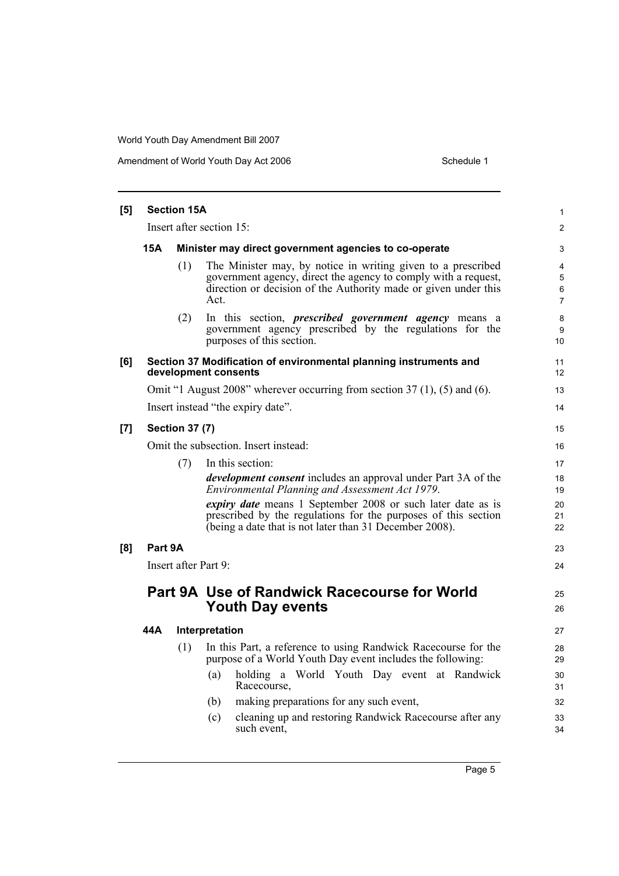| [5] | <b>Section 15A</b>                   |                       |                                                                                                                                                                                                           |                                     |  |  |  |
|-----|--------------------------------------|-----------------------|-----------------------------------------------------------------------------------------------------------------------------------------------------------------------------------------------------------|-------------------------------------|--|--|--|
|     | Insert after section 15:             |                       |                                                                                                                                                                                                           |                                     |  |  |  |
|     | 15A                                  |                       | Minister may direct government agencies to co-operate                                                                                                                                                     | 3                                   |  |  |  |
|     |                                      | (1)                   | The Minister may, by notice in writing given to a prescribed<br>government agency, direct the agency to comply with a request,<br>direction or decision of the Authority made or given under this<br>Act. | 4<br>5<br>$\,6\,$<br>$\overline{7}$ |  |  |  |
|     |                                      | (2)                   | In this section, <i>prescribed government agency</i> means a<br>government agency prescribed by the regulations for the<br>purposes of this section.                                                      | 8<br>9<br>10                        |  |  |  |
| [6] |                                      |                       | Section 37 Modification of environmental planning instruments and<br>development consents                                                                                                                 | 11<br>12                            |  |  |  |
|     |                                      |                       | Omit "1 August 2008" wherever occurring from section 37 (1), (5) and (6).                                                                                                                                 | 13                                  |  |  |  |
|     |                                      |                       | Insert instead "the expiry date".                                                                                                                                                                         | 14                                  |  |  |  |
| [7] |                                      | <b>Section 37 (7)</b> |                                                                                                                                                                                                           | 15                                  |  |  |  |
|     | Omit the subsection. Insert instead: |                       |                                                                                                                                                                                                           |                                     |  |  |  |
|     |                                      | (7)                   | In this section:                                                                                                                                                                                          | 17                                  |  |  |  |
|     |                                      |                       | <i>development consent</i> includes an approval under Part 3A of the<br>Environmental Planning and Assessment Act 1979.                                                                                   | 18<br>19                            |  |  |  |
|     |                                      |                       | <i>expiry date</i> means 1 September 2008 or such later date as is<br>prescribed by the regulations for the purposes of this section<br>(being a date that is not later than 31 December 2008).           | 20<br>21<br>22                      |  |  |  |
| [8] | Part 9A                              |                       |                                                                                                                                                                                                           | 23                                  |  |  |  |
|     |                                      |                       | Insert after Part 9:                                                                                                                                                                                      | 24                                  |  |  |  |
|     |                                      |                       | <b>Part 9A Use of Randwick Racecourse for World</b><br><b>Youth Day events</b>                                                                                                                            | 25<br>26                            |  |  |  |
|     | 44A                                  |                       | Interpretation                                                                                                                                                                                            | 27                                  |  |  |  |
|     |                                      | (1)                   | In this Part, a reference to using Randwick Racecourse for the<br>purpose of a World Youth Day event includes the following:                                                                              | 28<br>29                            |  |  |  |
|     |                                      |                       | holding a World Youth Day event at Randwick<br>(a)<br>Racecourse,                                                                                                                                         | 30<br>31                            |  |  |  |
|     |                                      |                       | making preparations for any such event,<br>(b)                                                                                                                                                            | 32                                  |  |  |  |
|     |                                      |                       | cleaning up and restoring Randwick Racecourse after any<br>(c)<br>such event,                                                                                                                             | 33<br>34                            |  |  |  |
|     |                                      |                       |                                                                                                                                                                                                           |                                     |  |  |  |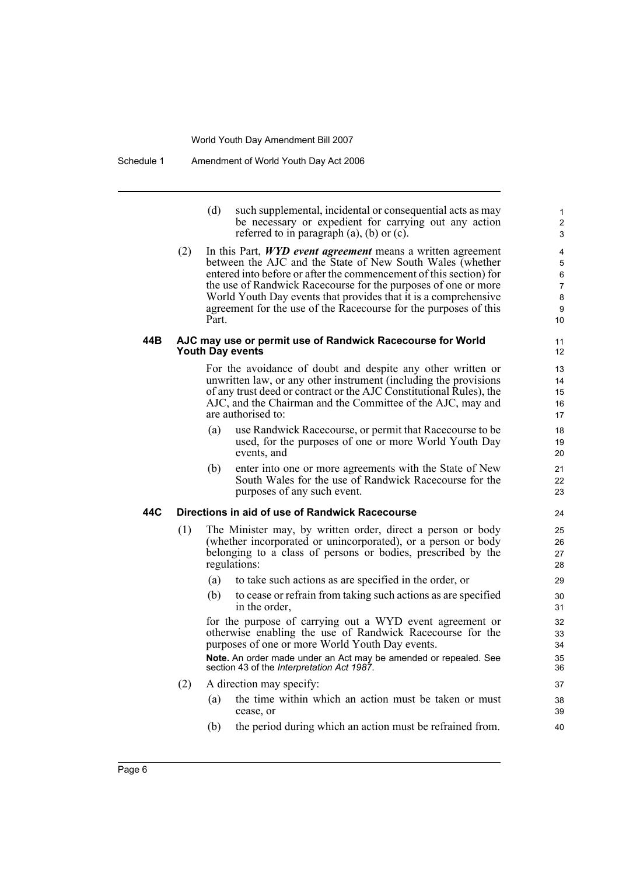(d) such supplemental, incidental or consequential acts as may be necessary or expedient for carrying out any action referred to in paragraph (a), (b) or (c).

(2) In this Part, *WYD event agreement* means a written agreement between the AJC and the State of New South Wales (whether entered into before or after the commencement of this section) for the use of Randwick Racecourse for the purposes of one or more World Youth Day events that provides that it is a comprehensive agreement for the use of the Racecourse for the purposes of this Part.

### **44B AJC may use or permit use of Randwick Racecourse for World Youth Day events**

For the avoidance of doubt and despite any other written or unwritten law, or any other instrument (including the provisions of any trust deed or contract or the AJC Constitutional Rules), the AJC, and the Chairman and the Committee of the AJC, may and are authorised to:

- (a) use Randwick Racecourse, or permit that Racecourse to be used, for the purposes of one or more World Youth Day events, and
- (b) enter into one or more agreements with the State of New South Wales for the use of Randwick Racecourse for the purposes of any such event.

### **44C Directions in aid of use of Randwick Racecourse**

- (1) The Minister may, by written order, direct a person or body (whether incorporated or unincorporated), or a person or body belonging to a class of persons or bodies, prescribed by the regulations:
	- (a) to take such actions as are specified in the order, or
	- (b) to cease or refrain from taking such actions as are specified in the order,

for the purpose of carrying out a WYD event agreement or otherwise enabling the use of Randwick Racecourse for the purposes of one or more World Youth Day events.

**Note.** An order made under an Act may be amended or repealed. See section 43 of the *Interpretation Act 1987*.

- (2) A direction may specify:
	- (a) the time within which an action must be taken or must cease, or
	- (b) the period during which an action must be refrained from.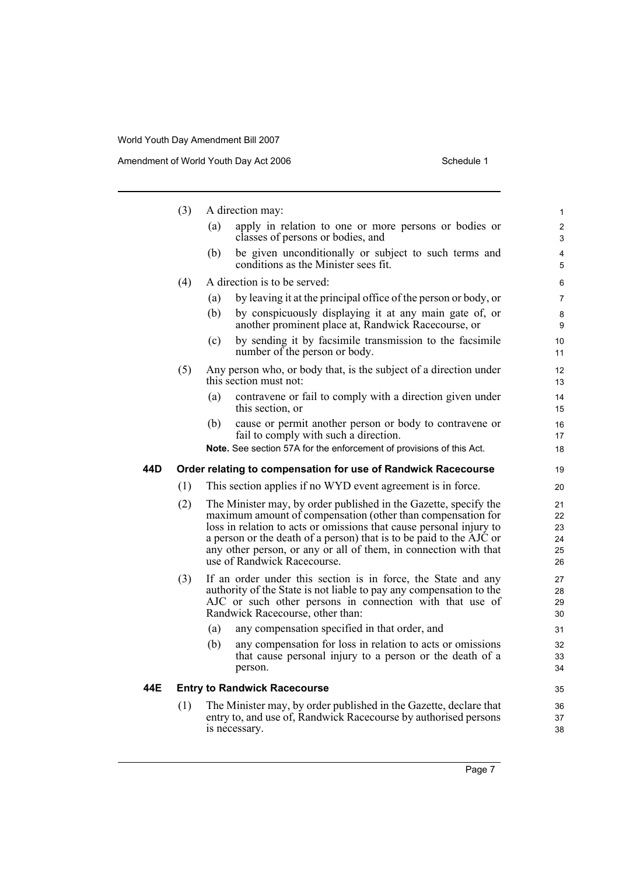|     | (3) | A direction may:                                                                                                                                                                                                                                                                                                                                                                 | 1                                |
|-----|-----|----------------------------------------------------------------------------------------------------------------------------------------------------------------------------------------------------------------------------------------------------------------------------------------------------------------------------------------------------------------------------------|----------------------------------|
|     |     | apply in relation to one or more persons or bodies or<br>(a)<br>classes of persons or bodies, and                                                                                                                                                                                                                                                                                | $\overline{c}$<br>3              |
|     |     | be given unconditionally or subject to such terms and<br>(b)<br>conditions as the Minister sees fit.                                                                                                                                                                                                                                                                             | 4<br>5                           |
|     | (4) | A direction is to be served:                                                                                                                                                                                                                                                                                                                                                     | 6                                |
|     |     | by leaving it at the principal office of the person or body, or<br>(a)                                                                                                                                                                                                                                                                                                           | 7                                |
|     |     | by conspicuously displaying it at any main gate of, or<br>(b)<br>another prominent place at, Randwick Racecourse, or                                                                                                                                                                                                                                                             | 8<br>9                           |
|     |     | by sending it by facsimile transmission to the facsimile<br>(c)<br>number of the person or body.                                                                                                                                                                                                                                                                                 | 10<br>11                         |
|     | (5) | Any person who, or body that, is the subject of a direction under<br>this section must not:                                                                                                                                                                                                                                                                                      | 12<br>13                         |
|     |     | contravene or fail to comply with a direction given under<br>(a)<br>this section, or                                                                                                                                                                                                                                                                                             | 14<br>15                         |
|     |     | cause or permit another person or body to contravene or<br>(b)<br>fail to comply with such a direction.                                                                                                                                                                                                                                                                          | 16<br>17                         |
|     |     | <b>Note.</b> See section 57A for the enforcement of provisions of this Act.                                                                                                                                                                                                                                                                                                      | 18                               |
| 44D |     | Order relating to compensation for use of Randwick Racecourse                                                                                                                                                                                                                                                                                                                    | 19                               |
|     | (1) | This section applies if no WYD event agreement is in force.                                                                                                                                                                                                                                                                                                                      | 20                               |
|     | (2) | The Minister may, by order published in the Gazette, specify the<br>maximum amount of compensation (other than compensation for<br>loss in relation to acts or omissions that cause personal injury to<br>a person or the death of a person) that is to be paid to the AJC or<br>any other person, or any or all of them, in connection with that<br>use of Randwick Racecourse. | 21<br>22<br>23<br>24<br>25<br>26 |
|     | (3) | If an order under this section is in force, the State and any<br>authority of the State is not liable to pay any compensation to the<br>AJC or such other persons in connection with that use of<br>Randwick Racecourse, other than:                                                                                                                                             | 27<br>28<br>29<br>30             |
|     |     | (a)<br>any compensation specified in that order, and                                                                                                                                                                                                                                                                                                                             | 31                               |
|     |     | (b)<br>any compensation for loss in relation to acts or omissions<br>that cause personal injury to a person or the death of a<br>person.                                                                                                                                                                                                                                         | 32<br>33<br>34                   |
| 44E |     | <b>Entry to Randwick Racecourse</b>                                                                                                                                                                                                                                                                                                                                              | 35                               |
|     | (1) | The Minister may, by order published in the Gazette, declare that<br>entry to, and use of, Randwick Racecourse by authorised persons<br>is necessary.                                                                                                                                                                                                                            | 36<br>37<br>38                   |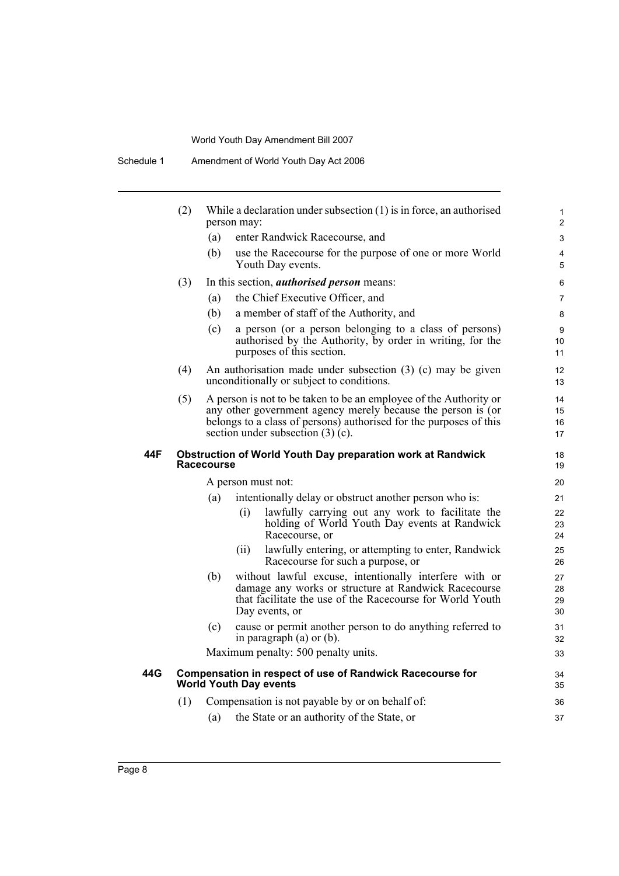Schedule 1 Amendment of World Youth Day Act 2006

|     | (2) | While a declaration under subsection $(1)$ is in force, an authorised<br>person may:                                                                                                                                                           | 1<br>$\overline{2}$  |
|-----|-----|------------------------------------------------------------------------------------------------------------------------------------------------------------------------------------------------------------------------------------------------|----------------------|
|     |     | (a)<br>enter Randwick Racecourse, and                                                                                                                                                                                                          | 3                    |
|     |     | (b)<br>use the Racecourse for the purpose of one or more World<br>Youth Day events.                                                                                                                                                            | 4<br>5               |
|     | (3) | In this section, <i>authorised person</i> means:                                                                                                                                                                                               | 6                    |
|     |     | the Chief Executive Officer, and<br>(a)                                                                                                                                                                                                        | $\overline{7}$       |
|     |     | a member of staff of the Authority, and<br>(b)                                                                                                                                                                                                 | 8                    |
|     |     | a person (or a person belonging to a class of persons)<br>(c)<br>authorised by the Authority, by order in writing, for the<br>purposes of this section.                                                                                        | 9<br>10<br>11        |
|     | (4) | An authorisation made under subsection $(3)$ (c) may be given<br>unconditionally or subject to conditions.                                                                                                                                     | 12<br>13             |
|     | (5) | A person is not to be taken to be an employee of the Authority or<br>any other government agency merely because the person is (or<br>belongs to a class of persons) authorised for the purposes of this<br>section under subsection $(3)$ (c). | 14<br>15<br>16<br>17 |
| 44F |     | <b>Obstruction of World Youth Day preparation work at Randwick</b><br><b>Racecourse</b>                                                                                                                                                        | 18<br>19             |
|     |     | A person must not:                                                                                                                                                                                                                             | 20                   |
|     |     | (a)<br>intentionally delay or obstruct another person who is:                                                                                                                                                                                  | 21                   |
|     |     | (i)<br>lawfully carrying out any work to facilitate the<br>holding of World Youth Day events at Randwick<br>Racecourse, or                                                                                                                     | 22<br>23<br>24       |
|     |     | lawfully entering, or attempting to enter, Randwick<br>(ii)<br>Racecourse for such a purpose, or                                                                                                                                               | 25<br>26             |
|     |     | without lawful excuse, intentionally interfere with or<br>(b)<br>damage any works or structure at Randwick Racecourse<br>that facilitate the use of the Racecourse for World Youth<br>Day events, or                                           | 27<br>28<br>29<br>30 |
|     |     | (c)<br>cause or permit another person to do anything referred to<br>in paragraph $(a)$ or $(b)$ .                                                                                                                                              | 31<br>32             |
|     |     | Maximum penalty: 500 penalty units.                                                                                                                                                                                                            | 33                   |
| 44G |     | <b>Compensation in respect of use of Randwick Racecourse for</b><br><b>World Youth Day events</b>                                                                                                                                              | 34<br>35             |
|     | (1) | Compensation is not payable by or on behalf of:                                                                                                                                                                                                | 36                   |
|     |     | the State or an authority of the State, or<br>(a)                                                                                                                                                                                              | 37                   |
|     |     |                                                                                                                                                                                                                                                |                      |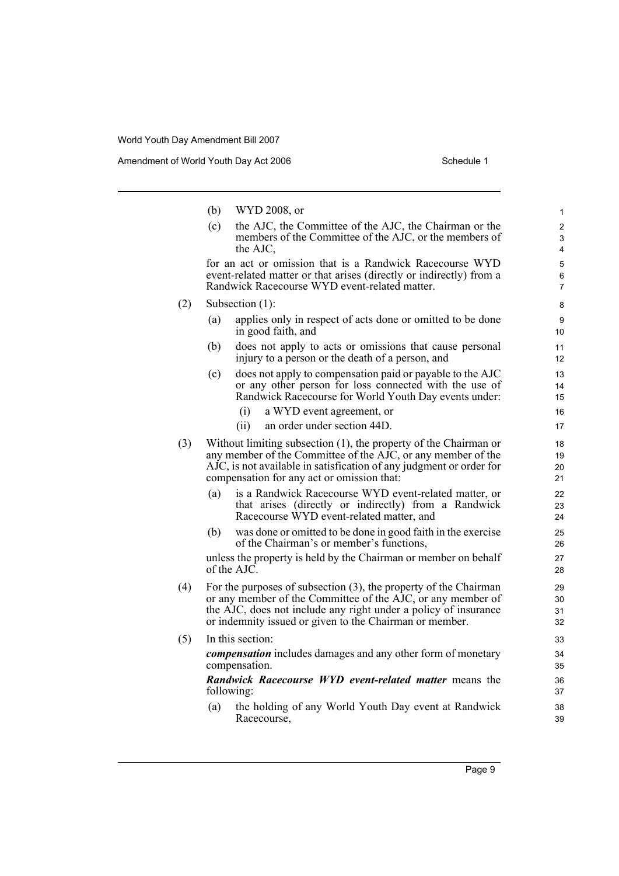|     | (b)        | WYD 2008, or                                                                                                                                                                                                                                                  | $\mathbf{1}$                          |
|-----|------------|---------------------------------------------------------------------------------------------------------------------------------------------------------------------------------------------------------------------------------------------------------------|---------------------------------------|
|     | (c)        | the AJC, the Committee of the AJC, the Chairman or the<br>members of the Committee of the AJC, or the members of<br>the AJC,                                                                                                                                  | 2<br>3<br>4                           |
|     |            | for an act or omission that is a Randwick Racecourse WYD<br>event-related matter or that arises (directly or indirectly) from a<br>Randwick Racecourse WYD event-related matter.                                                                              | $\overline{5}$<br>6<br>$\overline{7}$ |
| (2) |            | Subsection (1):                                                                                                                                                                                                                                               | 8                                     |
|     | (a)        | applies only in respect of acts done or omitted to be done<br>in good faith, and                                                                                                                                                                              | 9<br>10                               |
|     | (b)        | does not apply to acts or omissions that cause personal<br>injury to a person or the death of a person, and                                                                                                                                                   | 11<br>12                              |
|     | (c)        | does not apply to compensation paid or payable to the AJC<br>or any other person for loss connected with the use of<br>Randwick Racecourse for World Youth Day events under:                                                                                  | 13<br>14<br>15                        |
|     |            | (i)<br>a WYD event agreement, or                                                                                                                                                                                                                              | 16                                    |
|     |            | an order under section 44D.<br>(ii)                                                                                                                                                                                                                           | 17                                    |
| (3) |            | Without limiting subsection (1), the property of the Chairman or<br>any member of the Committee of the AJC, or any member of the<br>AJC, is not available in satisfication of any judgment or order for<br>compensation for any act or omission that:         | 18<br>19<br>20<br>21                  |
|     | (a)        | is a Randwick Racecourse WYD event-related matter, or<br>that arises (directly or indirectly) from a Randwick<br>Racecourse WYD event-related matter, and                                                                                                     | 22<br>23<br>24                        |
|     | (b)        | was done or omitted to be done in good faith in the exercise<br>of the Chairman's or member's functions,                                                                                                                                                      | 25<br>26                              |
|     |            | unless the property is held by the Chairman or member on behalf<br>of the AJC.                                                                                                                                                                                | 27<br>28                              |
| (4) |            | For the purposes of subsection (3), the property of the Chairman<br>or any member of the Committee of the AJC, or any member of<br>the AJC, does not include any right under a policy of insurance<br>or indemnity issued or given to the Chairman or member. | 29<br>30<br>31<br>32                  |
| (5) |            | In this section:                                                                                                                                                                                                                                              | 33                                    |
|     |            | <i>compensation</i> includes damages and any other form of monetary<br>compensation.                                                                                                                                                                          | 34<br>35                              |
|     | following: | <b>Randwick Racecourse WYD event-related matter means the</b>                                                                                                                                                                                                 | 36<br>37                              |
|     | (a)        | the holding of any World Youth Day event at Randwick<br>Racecourse,                                                                                                                                                                                           | 38<br>39                              |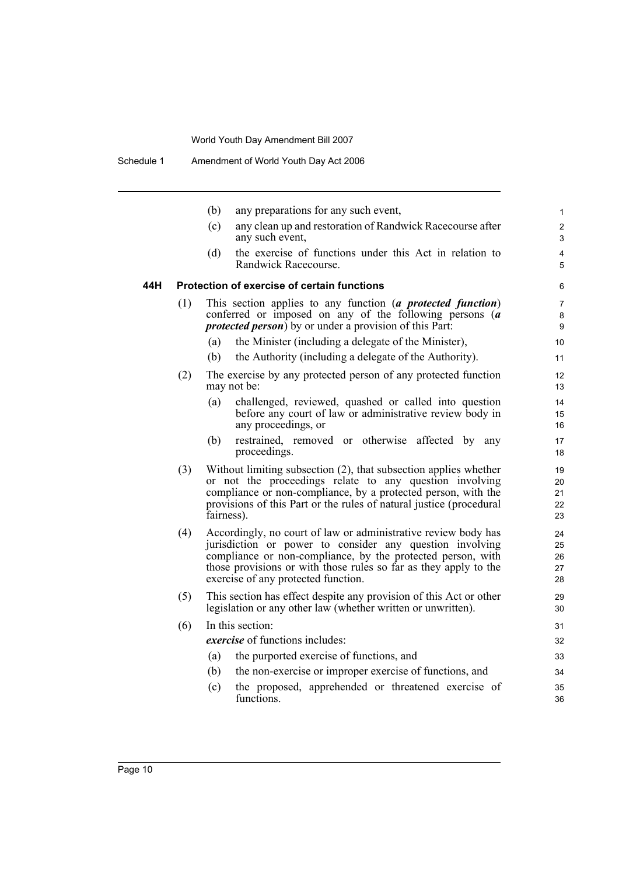|     |     | (b)        | any preparations for any such event,                                                                                                                                                                                                                                                                 | $\mathbf{1}$               |
|-----|-----|------------|------------------------------------------------------------------------------------------------------------------------------------------------------------------------------------------------------------------------------------------------------------------------------------------------------|----------------------------|
|     |     | (c)        | any clean up and restoration of Randwick Racecourse after<br>any such event,                                                                                                                                                                                                                         | $\overline{2}$<br>3        |
|     |     | (d)        | the exercise of functions under this Act in relation to<br>Randwick Racecourse.                                                                                                                                                                                                                      | 4<br>5                     |
| 44H |     |            | <b>Protection of exercise of certain functions</b>                                                                                                                                                                                                                                                   | 6                          |
|     | (1) |            | This section applies to any function (a protected function)<br>conferred or imposed on any of the following persons $(a$<br><i>protected person</i> ) by or under a provision of this Part:                                                                                                          | 7<br>8<br>9                |
|     |     | (a)        | the Minister (including a delegate of the Minister),                                                                                                                                                                                                                                                 | 10                         |
|     |     | (b)        | the Authority (including a delegate of the Authority).                                                                                                                                                                                                                                               | 11                         |
|     | (2) |            | The exercise by any protected person of any protected function<br>may not be:                                                                                                                                                                                                                        | 12<br>13                   |
|     |     | (a)        | challenged, reviewed, quashed or called into question<br>before any court of law or administrative review body in<br>any proceedings, or                                                                                                                                                             | 14<br>15<br>16             |
|     |     | (b)        | restrained, removed or otherwise affected by any<br>proceedings.                                                                                                                                                                                                                                     | 17<br>18                   |
|     | (3) | fairness). | Without limiting subsection (2), that subsection applies whether<br>or not the proceedings relate to any question involving<br>compliance or non-compliance, by a protected person, with the<br>provisions of this Part or the rules of natural justice (procedural                                  | 19<br>20<br>21<br>22<br>23 |
|     | (4) |            | Accordingly, no court of law or administrative review body has<br>jurisdiction or power to consider any question involving<br>compliance or non-compliance, by the protected person, with<br>those provisions or with those rules so far as they apply to the<br>exercise of any protected function. | 24<br>25<br>26<br>27<br>28 |
|     | (5) |            | This section has effect despite any provision of this Act or other<br>legislation or any other law (whether written or unwritten).                                                                                                                                                                   | 29<br>30                   |
|     | (6) |            | In this section:                                                                                                                                                                                                                                                                                     | 31                         |
|     |     |            | exercise of functions includes:                                                                                                                                                                                                                                                                      | 32                         |
|     |     | (a)        | the purported exercise of functions, and                                                                                                                                                                                                                                                             | 33                         |
|     |     | (b)        | the non-exercise or improper exercise of functions, and                                                                                                                                                                                                                                              | 34                         |
|     |     | (c)        | the proposed, apprehended or threatened exercise of<br>functions.                                                                                                                                                                                                                                    | 35<br>36                   |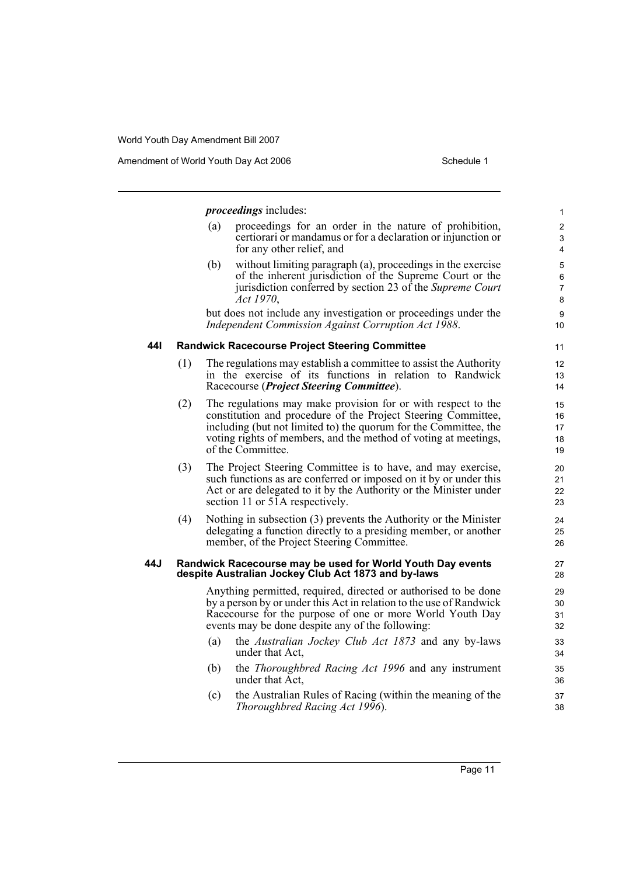*proceedings* includes: (a) proceedings for an order in the nature of prohibition, certiorari or mandamus or for a declaration or injunction or for any other relief, and (b) without limiting paragraph (a), proceedings in the exercise of the inherent jurisdiction of the Supreme Court or the jurisdiction conferred by section 23 of the *Supreme Court Act 1970*, but does not include any investigation or proceedings under the *Independent Commission Against Corruption Act 1988*. **44I Randwick Racecourse Project Steering Committee** (1) The regulations may establish a committee to assist the Authority in the exercise of its functions in relation to Randwick Racecourse (*Project Steering Committee*). (2) The regulations may make provision for or with respect to the constitution and procedure of the Project Steering Committee, including (but not limited to) the quorum for the Committee, the voting rights of members, and the method of voting at meetings, of the Committee. (3) The Project Steering Committee is to have, and may exercise, such functions as are conferred or imposed on it by or under this Act or are delegated to it by the Authority or the Minister under section 11 or 51A respectively. (4) Nothing in subsection (3) prevents the Authority or the Minister delegating a function directly to a presiding member, or another member, of the Project Steering Committee. **44J Randwick Racecourse may be used for World Youth Day events despite Australian Jockey Club Act 1873 and by-laws** Anything permitted, required, directed or authorised to be done by a person by or under this Act in relation to the use of Randwick Racecourse for the purpose of one or more World Youth Day events may be done despite any of the following: (a) the *Australian Jockey Club Act 1873* and any by-laws under that Act, (b) the *Thoroughbred Racing Act 1996* and any instrument under that Act, (c) the Australian Rules of Racing (within the meaning of the 1 2 3 4 5 6 7 8 9 10 11 12 13 14 15 16 17 18 19 20 21 22 23 24 25 26 27 28 29 30 31 32 33 34 35 36 37

*Thoroughbred Racing Act 1996*).

38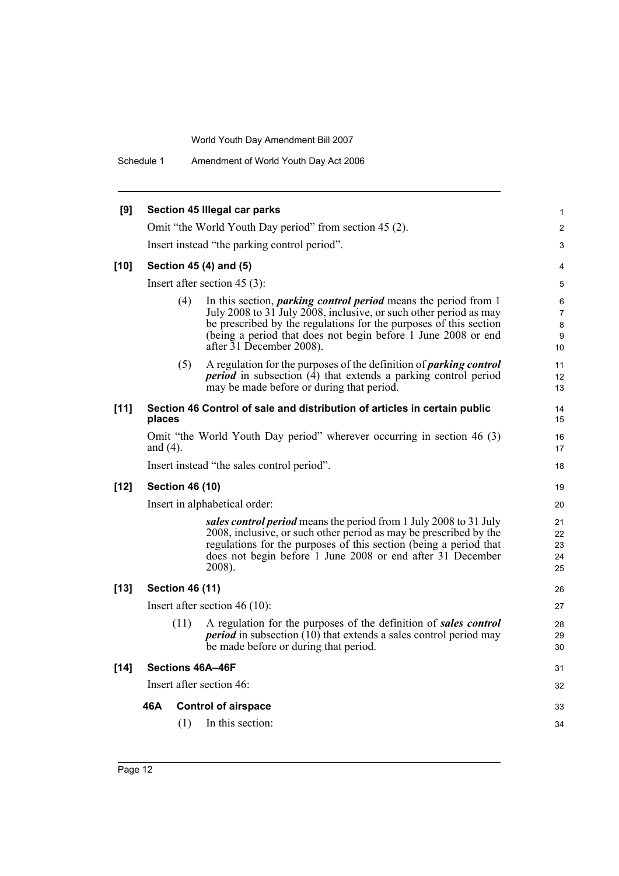Schedule 1 Amendment of World Youth Day Act 2006

| [9]    |             |                        | Section 45 Illegal car parks                                                                                                                                                                                                                                                                                  | 1                                   |
|--------|-------------|------------------------|---------------------------------------------------------------------------------------------------------------------------------------------------------------------------------------------------------------------------------------------------------------------------------------------------------------|-------------------------------------|
|        |             |                        | Omit "the World Youth Day period" from section 45 (2).                                                                                                                                                                                                                                                        | $\overline{c}$                      |
|        |             |                        | Insert instead "the parking control period".                                                                                                                                                                                                                                                                  | 3                                   |
| $[10]$ |             |                        | Section 45 (4) and (5)                                                                                                                                                                                                                                                                                        | 4                                   |
|        |             |                        | Insert after section $45(3)$ :                                                                                                                                                                                                                                                                                | 5                                   |
|        |             | (4)                    | In this section, <i>parking control period</i> means the period from 1<br>July 2008 to 31 July 2008, inclusive, or such other period as may<br>be prescribed by the regulations for the purposes of this section<br>(being a period that does not begin before 1 June 2008 or end<br>after 31 December 2008). | 6<br>$\overline{7}$<br>8<br>9<br>10 |
|        |             | (5)                    | A regulation for the purposes of the definition of <i>parking control</i><br><i>period</i> in subsection (4) that extends a parking control period<br>may be made before or during that period.                                                                                                               | 11<br>12<br>13                      |
| $[11]$ | places      |                        | Section 46 Control of sale and distribution of articles in certain public                                                                                                                                                                                                                                     | 14<br>15                            |
|        | and $(4)$ . |                        | Omit "the World Youth Day period" wherever occurring in section 46 (3)                                                                                                                                                                                                                                        | 16<br>17                            |
|        |             |                        | Insert instead "the sales control period".                                                                                                                                                                                                                                                                    | 18                                  |
| $[12]$ |             | <b>Section 46 (10)</b> |                                                                                                                                                                                                                                                                                                               | 19                                  |
|        |             |                        | Insert in alphabetical order:                                                                                                                                                                                                                                                                                 | 20                                  |
|        |             |                        | sales control period means the period from 1 July 2008 to 31 July<br>2008, inclusive, or such other period as may be prescribed by the<br>regulations for the purposes of this section (being a period that<br>does not begin before 1 June 2008 or end after 31 December<br>2008).                           | 21<br>22<br>23<br>24<br>25          |
| $[13]$ |             | <b>Section 46 (11)</b> |                                                                                                                                                                                                                                                                                                               | 26                                  |
|        |             |                        | Insert after section $46(10)$ :                                                                                                                                                                                                                                                                               | 27                                  |
|        |             | (11)                   | A regulation for the purposes of the definition of sales control<br><i>period</i> in subsection $(10)$ that extends a sales control period may<br>be made before or during that period.                                                                                                                       | 28<br>29<br>30                      |
| $[14]$ |             |                        | Sections 46A-46F                                                                                                                                                                                                                                                                                              | 31                                  |
|        |             |                        | Insert after section 46:                                                                                                                                                                                                                                                                                      | 32                                  |
|        | 46A         |                        | <b>Control of airspace</b>                                                                                                                                                                                                                                                                                    | 33                                  |
|        |             | (1)                    | In this section:                                                                                                                                                                                                                                                                                              | 34                                  |
|        |             |                        |                                                                                                                                                                                                                                                                                                               |                                     |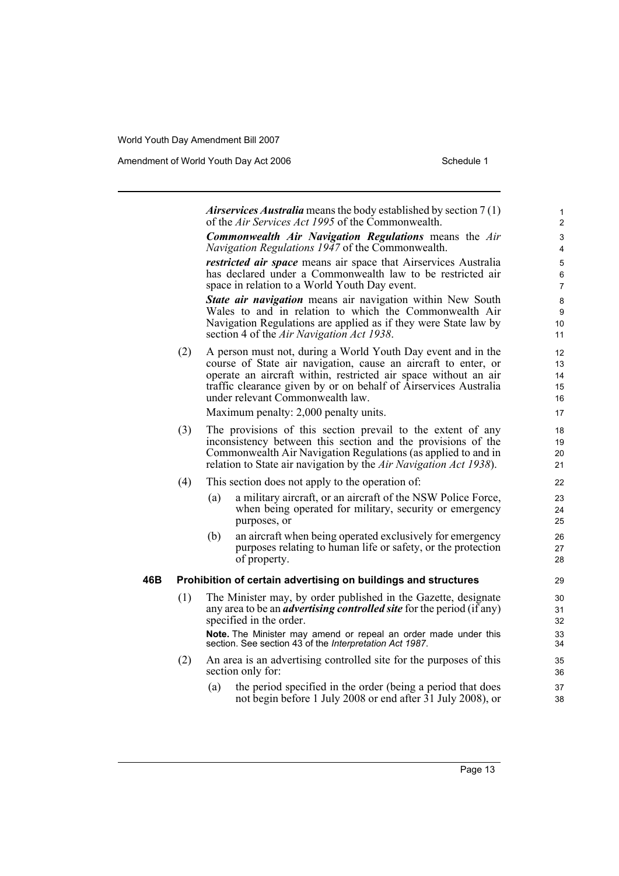Amendment of World Youth Day Act 2006 Schedule 1

|     |     |     | <i>Airservices Australia</i> means the body established by section $7(1)$<br>of the Air Services Act 1995 of the Commonwealth.                                                                                                                                                                                                                     | 1<br>2                             |
|-----|-----|-----|----------------------------------------------------------------------------------------------------------------------------------------------------------------------------------------------------------------------------------------------------------------------------------------------------------------------------------------------------|------------------------------------|
|     |     |     | Commonwealth Air Navigation Regulations means the Air<br>Navigation Regulations 1947 of the Commonwealth.                                                                                                                                                                                                                                          | 3<br>4                             |
|     |     |     | <i>restricted air space</i> means air space that Airservices Australia<br>has declared under a Commonwealth law to be restricted air<br>space in relation to a World Youth Day event.                                                                                                                                                              | $\mathbf 5$<br>6<br>$\overline{7}$ |
|     |     |     | <b>State air navigation</b> means air navigation within New South<br>Wales to and in relation to which the Commonwealth Air<br>Navigation Regulations are applied as if they were State law by<br>section 4 of the Air Navigation Act 1938.                                                                                                        | 8<br>9<br>10<br>11                 |
|     | (2) |     | A person must not, during a World Youth Day event and in the<br>course of State air navigation, cause an aircraft to enter, or<br>operate an aircraft within, restricted air space without an air<br>traffic clearance given by or on behalf of Airservices Australia<br>under relevant Commonwealth law.<br>Maximum penalty: 2,000 penalty units. | 12<br>13<br>14<br>15<br>16<br>17   |
|     | (3) |     | The provisions of this section prevail to the extent of any<br>inconsistency between this section and the provisions of the<br>Commonwealth Air Navigation Regulations (as applied to and in<br>relation to State air navigation by the Air Navigation Act 1938).                                                                                  | 18<br>19<br>20<br>21               |
|     | (4) |     | This section does not apply to the operation of:                                                                                                                                                                                                                                                                                                   | 22                                 |
|     |     | (a) | a military aircraft, or an aircraft of the NSW Police Force,<br>when being operated for military, security or emergency<br>purposes, or                                                                                                                                                                                                            | 23<br>24<br>25                     |
|     |     | (b) | an aircraft when being operated exclusively for emergency<br>purposes relating to human life or safety, or the protection<br>of property.                                                                                                                                                                                                          | 26<br>27<br>28                     |
| 46B |     |     | Prohibition of certain advertising on buildings and structures                                                                                                                                                                                                                                                                                     | 29                                 |
|     | (1) |     | The Minister may, by order published in the Gazette, designate<br>any area to be an <i>advertising controlled site</i> for the period (if any)<br>specified in the order.                                                                                                                                                                          | 30<br>31<br>32                     |
|     |     |     | Note. The Minister may amend or repeal an order made under this<br>section. See section 43 of the Interpretation Act 1987.                                                                                                                                                                                                                         | 33<br>34                           |
|     | (2) |     | An area is an advertising controlled site for the purposes of this<br>section only for:                                                                                                                                                                                                                                                            | 35<br>36                           |
|     |     | (a) | the period specified in the order (being a period that does<br>not begin before 1 July 2008 or end after 31 July 2008), or                                                                                                                                                                                                                         | 37<br>38                           |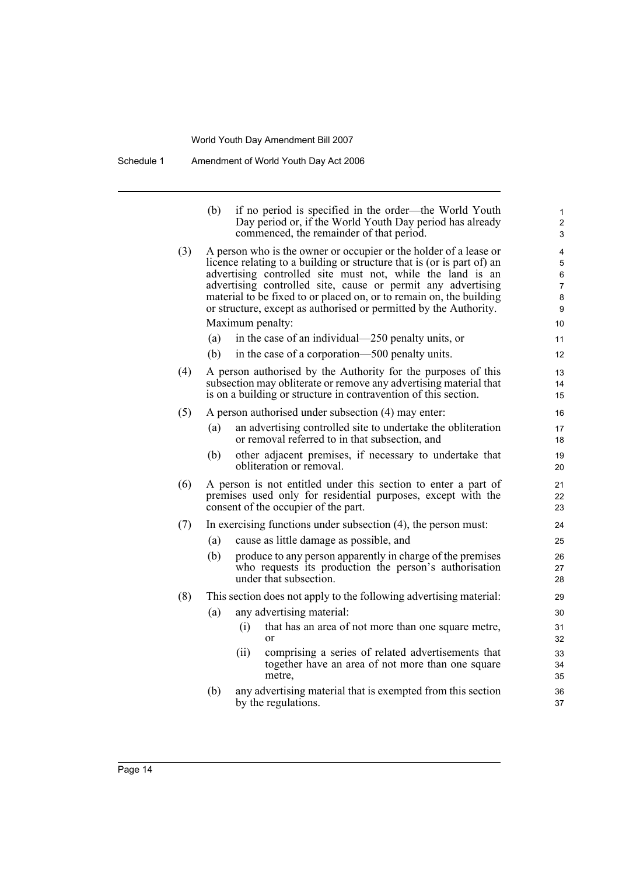Schedule 1 Amendment of World Youth Day Act 2006

|     | (b) | if no period is specified in the order—the World Youth<br>Day period or, if the World Youth Day period has already<br>commenced, the remainder of that period.                                                                                                                                                                                                                                                        | 1<br>$\overline{\mathbf{c}}$<br>3       |
|-----|-----|-----------------------------------------------------------------------------------------------------------------------------------------------------------------------------------------------------------------------------------------------------------------------------------------------------------------------------------------------------------------------------------------------------------------------|-----------------------------------------|
| (3) |     | A person who is the owner or occupier or the holder of a lease or<br>licence relating to a building or structure that is (or is part of) an<br>advertising controlled site must not, while the land is an<br>advertising controlled site, cause or permit any advertising<br>material to be fixed to or placed on, or to remain on, the building<br>or structure, except as authorised or permitted by the Authority. | 4<br>5<br>6<br>$\overline{7}$<br>8<br>9 |
|     |     | Maximum penalty:                                                                                                                                                                                                                                                                                                                                                                                                      | 10                                      |
|     | (a) | in the case of an individual—250 penalty units, or                                                                                                                                                                                                                                                                                                                                                                    | 11                                      |
|     | (b) | in the case of a corporation—500 penalty units.                                                                                                                                                                                                                                                                                                                                                                       | 12                                      |
| (4) |     | A person authorised by the Authority for the purposes of this<br>subsection may obliterate or remove any advertising material that<br>is on a building or structure in contravention of this section.                                                                                                                                                                                                                 | 13<br>14<br>15                          |
| (5) |     | A person authorised under subsection (4) may enter:                                                                                                                                                                                                                                                                                                                                                                   | 16                                      |
|     | (a) | an advertising controlled site to undertake the obliteration<br>or removal referred to in that subsection, and                                                                                                                                                                                                                                                                                                        | 17<br>18                                |
|     | (b) | other adjacent premises, if necessary to undertake that<br>obliteration or removal.                                                                                                                                                                                                                                                                                                                                   | 19<br>20                                |
| (6) |     | A person is not entitled under this section to enter a part of<br>premises used only for residential purposes, except with the<br>consent of the occupier of the part.                                                                                                                                                                                                                                                | 21<br>22<br>23                          |
| (7) |     | In exercising functions under subsection (4), the person must:                                                                                                                                                                                                                                                                                                                                                        | 24                                      |
|     | (a) | cause as little damage as possible, and                                                                                                                                                                                                                                                                                                                                                                               | 25                                      |
|     | (b) | produce to any person apparently in charge of the premises<br>who requests its production the person's authorisation<br>under that subsection.                                                                                                                                                                                                                                                                        | 26<br>27<br>28                          |
| (8) |     | This section does not apply to the following advertising material:                                                                                                                                                                                                                                                                                                                                                    | 29                                      |
|     | (a) | any advertising material:                                                                                                                                                                                                                                                                                                                                                                                             | 30                                      |
|     |     | that has an area of not more than one square metre,<br>(i)<br><sub>or</sub>                                                                                                                                                                                                                                                                                                                                           | 31<br>32                                |
|     |     | comprising a series of related advertisements that<br>(ii)<br>together have an area of not more than one square<br>metre,                                                                                                                                                                                                                                                                                             | 33<br>34<br>35                          |
|     | (b) | any advertising material that is exempted from this section<br>by the regulations.                                                                                                                                                                                                                                                                                                                                    | 36<br>37                                |
|     |     |                                                                                                                                                                                                                                                                                                                                                                                                                       |                                         |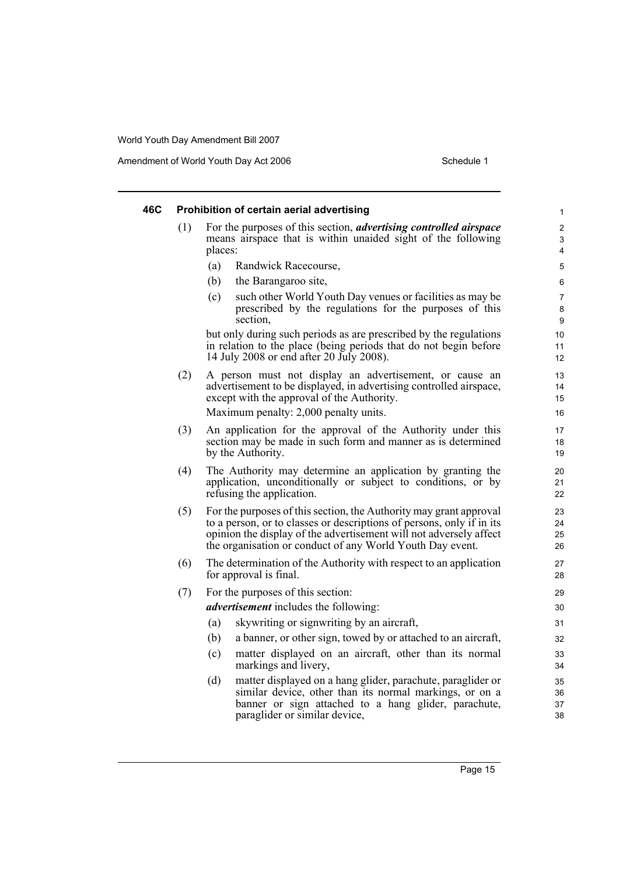Amendment of World Youth Day Act 2006 Schedule 1

| 46C |     | Prohibition of certain aerial advertising                                                                                                                                                                                                                                      | $\mathbf{1}$             |
|-----|-----|--------------------------------------------------------------------------------------------------------------------------------------------------------------------------------------------------------------------------------------------------------------------------------|--------------------------|
|     | (1) | For the purposes of this section, <i>advertising controlled airspace</i><br>means airspace that is within unaided sight of the following<br>places:                                                                                                                            | $\overline{2}$<br>3<br>4 |
|     |     | (a)<br>Randwick Racecourse,                                                                                                                                                                                                                                                    | 5                        |
|     |     | (b)<br>the Barangaroo site,                                                                                                                                                                                                                                                    | 6                        |
|     |     | (c)<br>such other World Youth Day venues or facilities as may be<br>prescribed by the regulations for the purposes of this<br>section,                                                                                                                                         | 7<br>8<br>9              |
|     |     | but only during such periods as are prescribed by the regulations<br>in relation to the place (being periods that do not begin before<br>14 July 2008 or end after 20 July 2008).                                                                                              | 10<br>11<br>12           |
|     | (2) | A person must not display an advertisement, or cause an<br>advertisement to be displayed, in advertising controlled airspace,<br>except with the approval of the Authority.                                                                                                    | 13<br>14<br>15           |
|     |     | Maximum penalty: 2,000 penalty units.                                                                                                                                                                                                                                          | 16                       |
|     | (3) | An application for the approval of the Authority under this<br>section may be made in such form and manner as is determined<br>by the Authority.                                                                                                                               | 17<br>18<br>19           |
|     | (4) | The Authority may determine an application by granting the<br>application, unconditionally or subject to conditions, or by<br>refusing the application.                                                                                                                        | 20<br>21<br>22           |
|     | (5) | For the purposes of this section, the Authority may grant approval<br>to a person, or to classes or descriptions of persons, only if in its<br>opinion the display of the advertisement will not adversely affect<br>the organisation or conduct of any World Youth Day event. | 23<br>24<br>25<br>26     |
|     | (6) | The determination of the Authority with respect to an application<br>for approval is final.                                                                                                                                                                                    | 27<br>28                 |
|     | (7) | For the purposes of this section:                                                                                                                                                                                                                                              | 29                       |
|     |     | <i>advertisement</i> includes the following:                                                                                                                                                                                                                                   | 30                       |
|     |     | sky writing or sign writing by an aircraft,<br>(a)                                                                                                                                                                                                                             | 31                       |
|     |     | a banner, or other sign, towed by or attached to an aircraft,<br>(b)                                                                                                                                                                                                           | 32                       |
|     |     | matter displayed on an aircraft, other than its normal<br>(c)<br>markings and livery,                                                                                                                                                                                          | 33<br>34                 |
|     |     | matter displayed on a hang glider, parachute, paraglider or<br>(d)<br>similar device, other than its normal markings, or on a<br>banner or sign attached to a hang glider, parachute,                                                                                          | 35<br>36<br>37           |

paraglider or similar device,

38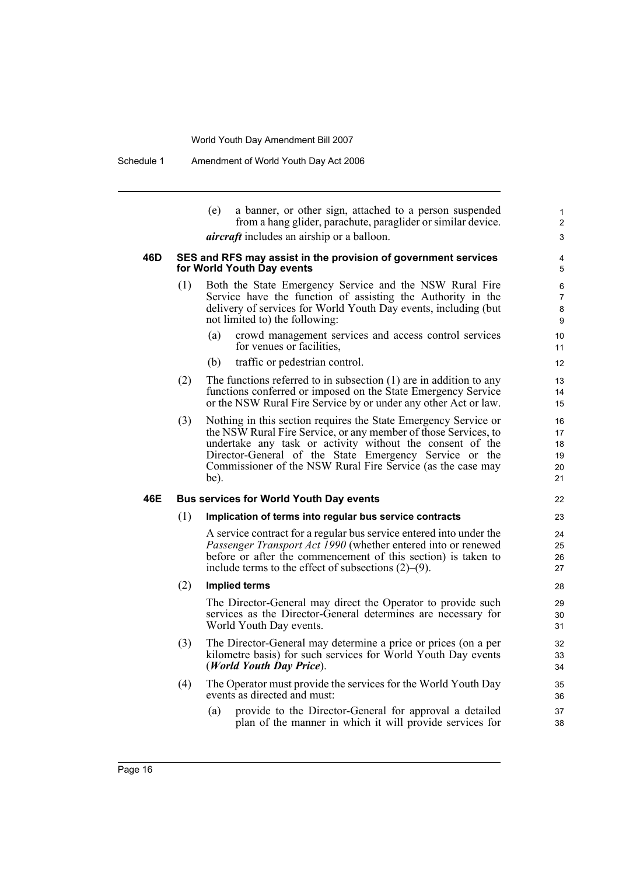Schedule 1 Amendment of World Youth Day Act 2006

|     |                                                                                              | (e)<br>a banner, or other sign, attached to a person suspended<br>from a hang glider, parachute, paraglider or similar device.<br><i>aircraft</i> includes an airship or a balloon.                                                                                                                                              | 1<br>2<br>3                      |  |  |  |
|-----|----------------------------------------------------------------------------------------------|----------------------------------------------------------------------------------------------------------------------------------------------------------------------------------------------------------------------------------------------------------------------------------------------------------------------------------|----------------------------------|--|--|--|
| 46D | SES and RFS may assist in the provision of government services<br>for World Youth Day events |                                                                                                                                                                                                                                                                                                                                  |                                  |  |  |  |
|     | (1)                                                                                          | Both the State Emergency Service and the NSW Rural Fire<br>Service have the function of assisting the Authority in the<br>delivery of services for World Youth Day events, including (but<br>not limited to) the following:                                                                                                      | 6<br>7<br>8<br>9                 |  |  |  |
|     |                                                                                              | crowd management services and access control services<br>(a)<br>for venues or facilities,                                                                                                                                                                                                                                        | 10<br>11                         |  |  |  |
|     |                                                                                              | (b)<br>traffic or pedestrian control.                                                                                                                                                                                                                                                                                            | 12                               |  |  |  |
|     | (2)                                                                                          | The functions referred to in subsection $(1)$ are in addition to any<br>functions conferred or imposed on the State Emergency Service<br>or the NSW Rural Fire Service by or under any other Act or law.                                                                                                                         | 13<br>14<br>15                   |  |  |  |
|     | (3)                                                                                          | Nothing in this section requires the State Emergency Service or<br>the NSW Rural Fire Service, or any member of those Services, to<br>undertake any task or activity without the consent of the<br>Director-General of the State Emergency Service or the<br>Commissioner of the NSW Rural Fire Service (as the case may<br>be). | 16<br>17<br>18<br>19<br>20<br>21 |  |  |  |
| 46E | <b>Bus services for World Youth Day events</b>                                               |                                                                                                                                                                                                                                                                                                                                  |                                  |  |  |  |
|     | (1)                                                                                          | Implication of terms into regular bus service contracts                                                                                                                                                                                                                                                                          | 23                               |  |  |  |
|     |                                                                                              | A service contract for a regular bus service entered into under the<br>Passenger Transport Act 1990 (whether entered into or renewed<br>before or after the commencement of this section) is taken to<br>include terms to the effect of subsections $(2)$ – $(9)$ .                                                              | 24<br>25<br>26<br>27             |  |  |  |
|     | (2)                                                                                          | <b>Implied terms</b>                                                                                                                                                                                                                                                                                                             | 28                               |  |  |  |
|     |                                                                                              | The Director-General may direct the Operator to provide such<br>services as the Director-General determines are necessary for<br>World Youth Day events.                                                                                                                                                                         | 29<br>30<br>31                   |  |  |  |
|     | (3)                                                                                          | The Director-General may determine a price or prices (on a per<br>kilometre basis) for such services for World Youth Day events<br>(World Youth Day Price).                                                                                                                                                                      | 32<br>33<br>34                   |  |  |  |
|     | (4)                                                                                          | The Operator must provide the services for the World Youth Day<br>events as directed and must:                                                                                                                                                                                                                                   | 35<br>36                         |  |  |  |
|     |                                                                                              | (a)<br>provide to the Director-General for approval a detailed<br>plan of the manner in which it will provide services for                                                                                                                                                                                                       | 37<br>38                         |  |  |  |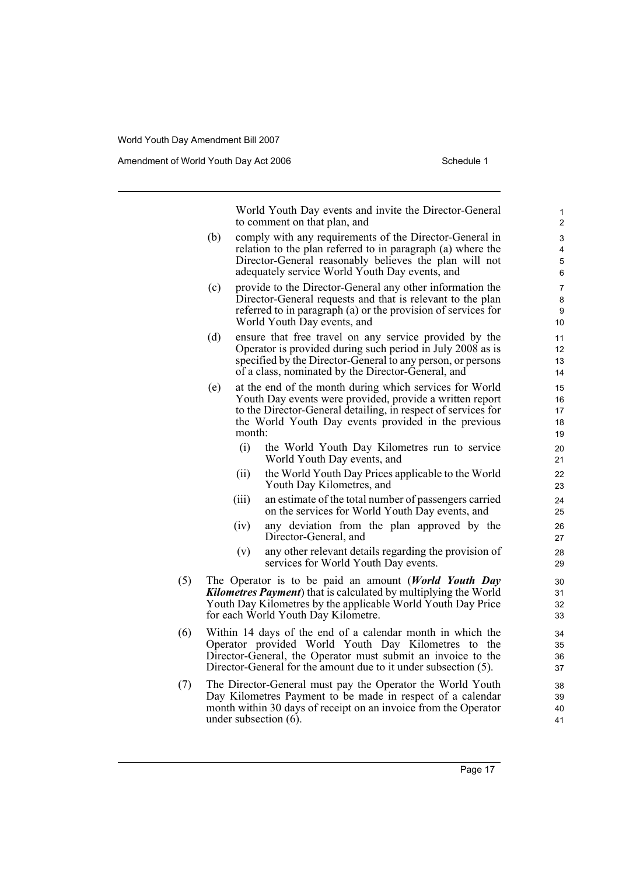Amendment of World Youth Day Act 2006 Schedule 1

World Youth Day events and invite the Director-General to comment on that plan, and

- (b) comply with any requirements of the Director-General in relation to the plan referred to in paragraph (a) where the Director-General reasonably believes the plan will not adequately service World Youth Day events, and
- (c) provide to the Director-General any other information the Director-General requests and that is relevant to the plan referred to in paragraph (a) or the provision of services for World Youth Day events, and
- (d) ensure that free travel on any service provided by the Operator is provided during such period in July 2008 as is specified by the Director-General to any person, or persons of a class, nominated by the Director-General, and
- (e) at the end of the month during which services for World Youth Day events were provided, provide a written report to the Director-General detailing, in respect of services for the World Youth Day events provided in the previous month:
	- (i) the World Youth Day Kilometres run to service World Youth Day events, and
	- (ii) the World Youth Day Prices applicable to the World Youth Day Kilometres, and
	- (iii) an estimate of the total number of passengers carried on the services for World Youth Day events, and
	- (iv) any deviation from the plan approved by the Director-General, and
	- (v) any other relevant details regarding the provision of services for World Youth Day events.
- (5) The Operator is to be paid an amount (*World Youth Day Kilometres Payment*) that is calculated by multiplying the World Youth Day Kilometres by the applicable World Youth Day Price for each World Youth Day Kilometre.
- (6) Within 14 days of the end of a calendar month in which the Operator provided World Youth Day Kilometres to the Director-General, the Operator must submit an invoice to the Director-General for the amount due to it under subsection (5).
- (7) The Director-General must pay the Operator the World Youth Day Kilometres Payment to be made in respect of a calendar month within 30 days of receipt on an invoice from the Operator under subsection (6).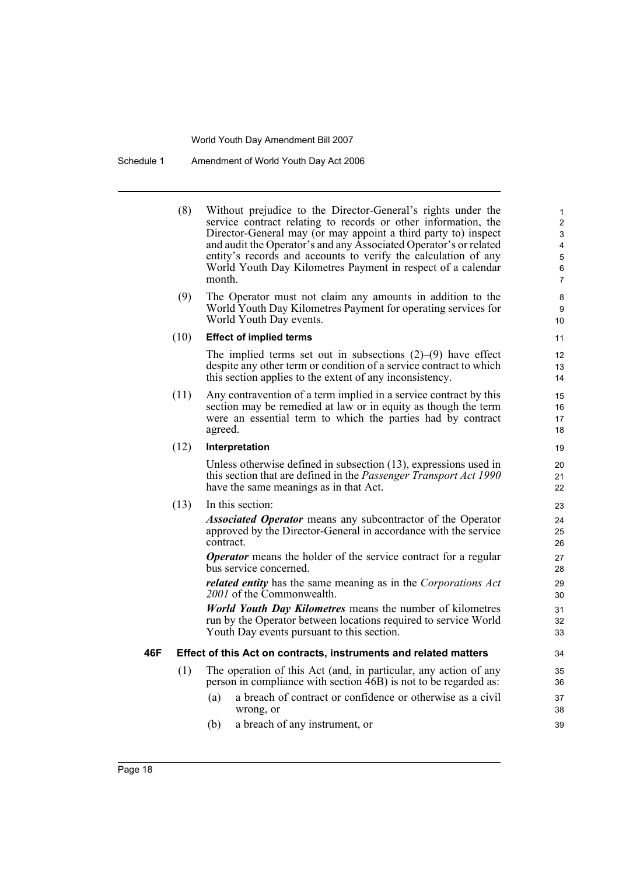Schedule 1 Amendment of World Youth Day Act 2006

(8) Without prejudice to the Director-General's rights under the service contract relating to records or other information, the Director-General may (or may appoint a third party to) inspect and audit the Operator's and any Associated Operator's or related entity's records and accounts to verify the calculation of any World Youth Day Kilometres Payment in respect of a calendar month.

(9) The Operator must not claim any amounts in addition to the World Youth Day Kilometres Payment for operating services for World Youth Day events.

### (10) **Effect of implied terms**

The implied terms set out in subsections  $(2)$ – $(9)$  have effect despite any other term or condition of a service contract to which this section applies to the extent of any inconsistency.

(11) Any contravention of a term implied in a service contract by this section may be remedied at law or in equity as though the term were an essential term to which the parties had by contract agreed.

### (12) **Interpretation**

Unless otherwise defined in subsection (13), expressions used in this section that are defined in the *Passenger Transport Act 1990* have the same meanings as in that Act.

### (13) In this section:

*Associated Operator* means any subcontractor of the Operator approved by the Director-General in accordance with the service contract.

*Operator* means the holder of the service contract for a regular bus service concerned.

*related entity* has the same meaning as in the *Corporations Act 2001* of the Commonwealth.

*World Youth Day Kilometres* means the number of kilometres run by the Operator between locations required to service World Youth Day events pursuant to this section.

### **46F Effect of this Act on contracts, instruments and related matters**

- (1) The operation of this Act (and, in particular, any action of any person in compliance with section 46B) is not to be regarded as:
	- (a) a breach of contract or confidence or otherwise as a civil wrong, or
	- (b) a breach of any instrument, or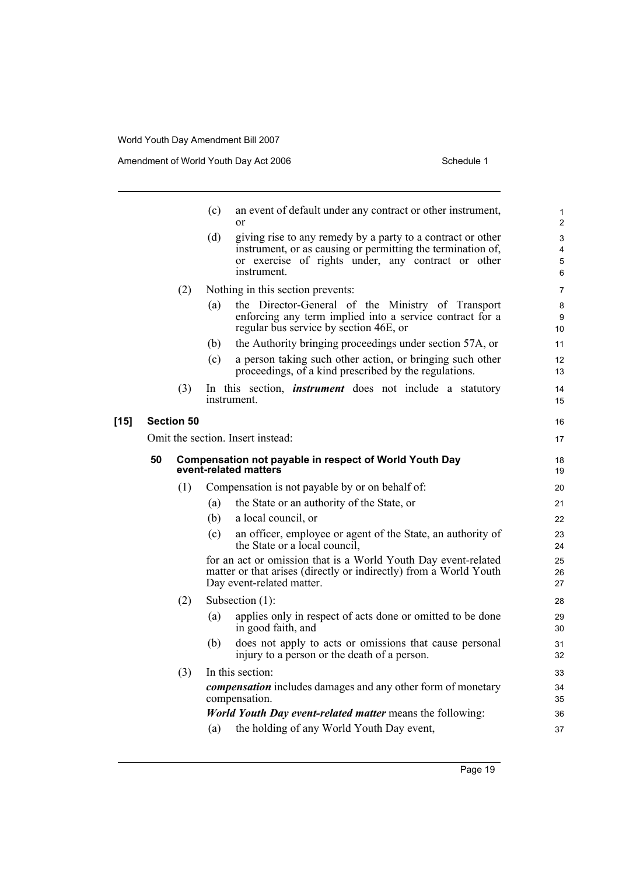|        |                   |     | (c) | an event of default under any contract or other instrument,<br>$\alpha$                                                                                          | $\mathbf{1}$<br>$\overline{2}$ |
|--------|-------------------|-----|-----|------------------------------------------------------------------------------------------------------------------------------------------------------------------|--------------------------------|
|        |                   |     | (d) | giving rise to any remedy by a party to a contract or other                                                                                                      | 3                              |
|        |                   |     |     | instrument, or as causing or permitting the termination of,<br>or exercise of rights under, any contract or other                                                | $\overline{4}$                 |
|        |                   |     |     | instrument.                                                                                                                                                      | 5<br>6                         |
|        |                   | (2) |     | Nothing in this section prevents:                                                                                                                                | $\overline{7}$                 |
|        |                   |     | (a) | the Director-General of the Ministry of Transport                                                                                                                | 8                              |
|        |                   |     |     | enforcing any term implied into a service contract for a<br>regular bus service by section 46E, or                                                               | 9<br>10 <sup>°</sup>           |
|        |                   |     | (b) | the Authority bringing proceedings under section 57A, or                                                                                                         | 11                             |
|        |                   |     | (c) | a person taking such other action, or bringing such other<br>proceedings, of a kind prescribed by the regulations.                                               | 12<br>13                       |
|        |                   | (3) |     | In this section, <i>instrument</i> does not include a statutory                                                                                                  | 14                             |
|        |                   |     |     | instrument.                                                                                                                                                      | 15                             |
| $[15]$ | <b>Section 50</b> |     |     |                                                                                                                                                                  |                                |
|        |                   |     |     | Omit the section. Insert instead:                                                                                                                                | 17                             |
|        | 50                |     |     | <b>Compensation not payable in respect of World Youth Day</b><br>event-related matters                                                                           | 18<br>19                       |
|        |                   | (1) |     | Compensation is not payable by or on behalf of:                                                                                                                  | 20                             |
|        |                   |     | (a) | the State or an authority of the State, or                                                                                                                       | 21                             |
|        |                   |     | (b) | a local council, or                                                                                                                                              | 22                             |
|        |                   |     | (c) | an officer, employee or agent of the State, an authority of<br>the State or a local council,                                                                     | 23<br>24                       |
|        |                   |     |     | for an act or omission that is a World Youth Day event-related<br>matter or that arises (directly or indirectly) from a World Youth<br>Day event-related matter. | 25<br>26<br>27                 |
|        |                   | (2) |     | Subsection $(1)$ :                                                                                                                                               | 28                             |
|        |                   |     | (a) | applies only in respect of acts done or omitted to be done                                                                                                       | 29                             |
|        |                   |     |     | in good faith, and                                                                                                                                               | 30                             |
|        |                   |     | (b) | does not apply to acts or omissions that cause personal<br>injury to a person or the death of a person.                                                          | 31<br>32                       |
|        |                   | (3) |     | In this section:                                                                                                                                                 | 33                             |
|        |                   |     |     | <i>compensation</i> includes damages and any other form of monetary<br>compensation.                                                                             | 34<br>35                       |
|        |                   |     |     | <b><i>World Youth Day event-related matter means the following:</i></b>                                                                                          | 36                             |
|        |                   |     | (a) | the holding of any World Youth Day event,                                                                                                                        | 37                             |
|        |                   |     |     |                                                                                                                                                                  |                                |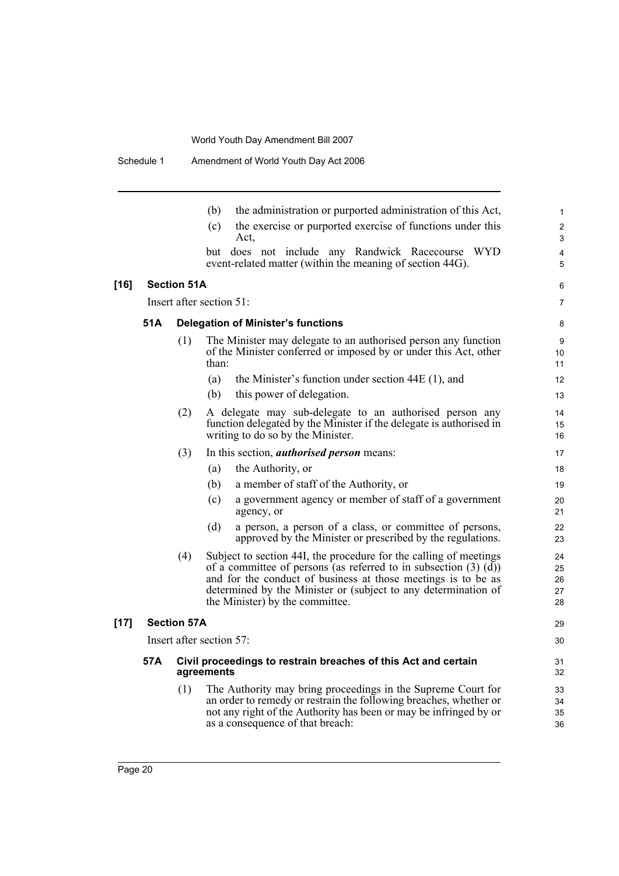|      |                          |                    | the administration or purported administration of this Act,<br>(b)                                                                                                                                                                                                                                               | 1                          |
|------|--------------------------|--------------------|------------------------------------------------------------------------------------------------------------------------------------------------------------------------------------------------------------------------------------------------------------------------------------------------------------------|----------------------------|
|      |                          |                    | the exercise or purported exercise of functions under this<br>(c)                                                                                                                                                                                                                                                | $\overline{c}$             |
|      |                          |                    | Act,                                                                                                                                                                                                                                                                                                             | 3                          |
|      |                          |                    | but does not include any Randwick Racecourse WYD<br>event-related matter (within the meaning of section 44G).                                                                                                                                                                                                    | $\overline{4}$<br>5        |
| [16] |                          | <b>Section 51A</b> |                                                                                                                                                                                                                                                                                                                  | 6                          |
|      |                          |                    | Insert after section 51:                                                                                                                                                                                                                                                                                         | 7                          |
|      | 51A                      |                    | <b>Delegation of Minister's functions</b>                                                                                                                                                                                                                                                                        | 8                          |
|      |                          | (1)                | The Minister may delegate to an authorised person any function<br>of the Minister conferred or imposed by or under this Act, other<br>than:                                                                                                                                                                      | 9<br>10<br>11              |
|      |                          |                    | (a)<br>the Minister's function under section $44E(1)$ , and                                                                                                                                                                                                                                                      | 12                         |
|      |                          |                    | this power of delegation.<br>(b)                                                                                                                                                                                                                                                                                 | 13                         |
|      |                          | (2)                | A delegate may sub-delegate to an authorised person any<br>function delegated by the Minister if the delegate is authorised in<br>writing to do so by the Minister.                                                                                                                                              | 14<br>15<br>16             |
|      |                          | (3)                | In this section, <i>authorised person</i> means:                                                                                                                                                                                                                                                                 | 17                         |
|      |                          |                    | the Authority, or<br>(a)                                                                                                                                                                                                                                                                                         | 18                         |
|      |                          |                    | a member of staff of the Authority, or<br>(b)                                                                                                                                                                                                                                                                    | 19                         |
|      |                          |                    | a government agency or member of staff of a government<br>(c)<br>agency, or                                                                                                                                                                                                                                      | 20<br>21                   |
|      |                          |                    | (d)<br>a person, a person of a class, or committee of persons,<br>approved by the Minister or prescribed by the regulations.                                                                                                                                                                                     | 22<br>23                   |
|      |                          | (4)                | Subject to section 44I, the procedure for the calling of meetings<br>of a committee of persons (as referred to in subsection $(3)$ $(d)$ )<br>and for the conduct of business at those meetings is to be as<br>determined by the Minister or (subject to any determination of<br>the Minister) by the committee. | 24<br>25<br>26<br>27<br>28 |
| [17] | <b>Section 57A</b>       |                    |                                                                                                                                                                                                                                                                                                                  |                            |
|      | Insert after section 57: |                    |                                                                                                                                                                                                                                                                                                                  |                            |
|      | 57A                      |                    | Civil proceedings to restrain breaches of this Act and certain<br>agreements                                                                                                                                                                                                                                     | 31<br>32                   |
|      |                          | (1)                | The Authority may bring proceedings in the Supreme Court for<br>an order to remedy or restrain the following breaches, whether or<br>not any right of the Authority has been or may be infringed by or<br>as a consequence of that breach:                                                                       | 33<br>34<br>35<br>36       |
|      |                          |                    |                                                                                                                                                                                                                                                                                                                  |                            |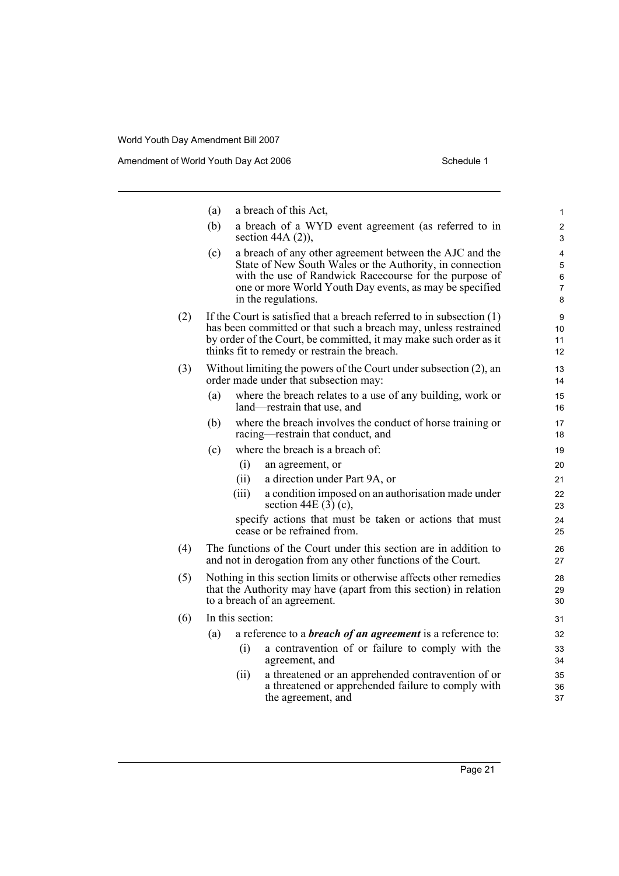|     | (a)                                                                                                                                                                     |       | a breach of this Act,                                                                                                                                                                                                                                           | $\mathbf{1}$                       |  |
|-----|-------------------------------------------------------------------------------------------------------------------------------------------------------------------------|-------|-----------------------------------------------------------------------------------------------------------------------------------------------------------------------------------------------------------------------------------------------------------------|------------------------------------|--|
|     | (b)                                                                                                                                                                     |       | a breach of a WYD event agreement (as referred to in<br>section 44A $(2)$ ),                                                                                                                                                                                    | $\overline{c}$<br>3                |  |
|     | (c)                                                                                                                                                                     |       | a breach of any other agreement between the AJC and the<br>State of New South Wales or the Authority, in connection<br>with the use of Randwick Racecourse for the purpose of<br>one or more World Youth Day events, as may be specified<br>in the regulations. | 4<br>5<br>6<br>$\overline{7}$<br>8 |  |
| (2) |                                                                                                                                                                         |       | If the Court is satisfied that a breach referred to in subsection $(1)$<br>has been committed or that such a breach may, unless restrained<br>by order of the Court, be committed, it may make such order as it<br>thinks fit to remedy or restrain the breach. | 9<br>10<br>11<br>12                |  |
| (3) |                                                                                                                                                                         |       | Without limiting the powers of the Court under subsection (2), an<br>order made under that subsection may:                                                                                                                                                      | 13<br>14                           |  |
|     | (a)                                                                                                                                                                     |       | where the breach relates to a use of any building, work or<br>land—restrain that use, and                                                                                                                                                                       | 15<br>16                           |  |
|     | (b)                                                                                                                                                                     |       | where the breach involves the conduct of horse training or<br>racing—restrain that conduct, and                                                                                                                                                                 | 17<br>18                           |  |
|     | (c)                                                                                                                                                                     |       | where the breach is a breach of:                                                                                                                                                                                                                                | 19                                 |  |
|     |                                                                                                                                                                         | (i)   | an agreement, or                                                                                                                                                                                                                                                | 20                                 |  |
|     |                                                                                                                                                                         | (ii)  | a direction under Part 9A, or                                                                                                                                                                                                                                   | 21                                 |  |
|     |                                                                                                                                                                         | (iii) | a condition imposed on an authorisation made under<br>section 44E $(3)$ (c),                                                                                                                                                                                    | 22<br>23                           |  |
|     |                                                                                                                                                                         |       | specify actions that must be taken or actions that must<br>cease or be refrained from.                                                                                                                                                                          | 24<br>25                           |  |
| (4) |                                                                                                                                                                         |       | The functions of the Court under this section are in addition to<br>and not in derogation from any other functions of the Court.                                                                                                                                | 26<br>27                           |  |
| (5) | Nothing in this section limits or otherwise affects other remedies<br>that the Authority may have (apart from this section) in relation<br>to a breach of an agreement. |       |                                                                                                                                                                                                                                                                 | 28<br>29<br>30                     |  |
| (6) | In this section:                                                                                                                                                        |       |                                                                                                                                                                                                                                                                 |                                    |  |
|     | (a)                                                                                                                                                                     |       | a reference to a <b>breach of an agreement</b> is a reference to:                                                                                                                                                                                               | 32                                 |  |
|     |                                                                                                                                                                         | (i)   | a contravention of or failure to comply with the<br>agreement, and                                                                                                                                                                                              | 33<br>34                           |  |
|     |                                                                                                                                                                         | (ii)  | a threatened or an apprehended contravention of or<br>a threatened or apprehended failure to comply with<br>the agreement, and                                                                                                                                  | 35<br>36<br>37                     |  |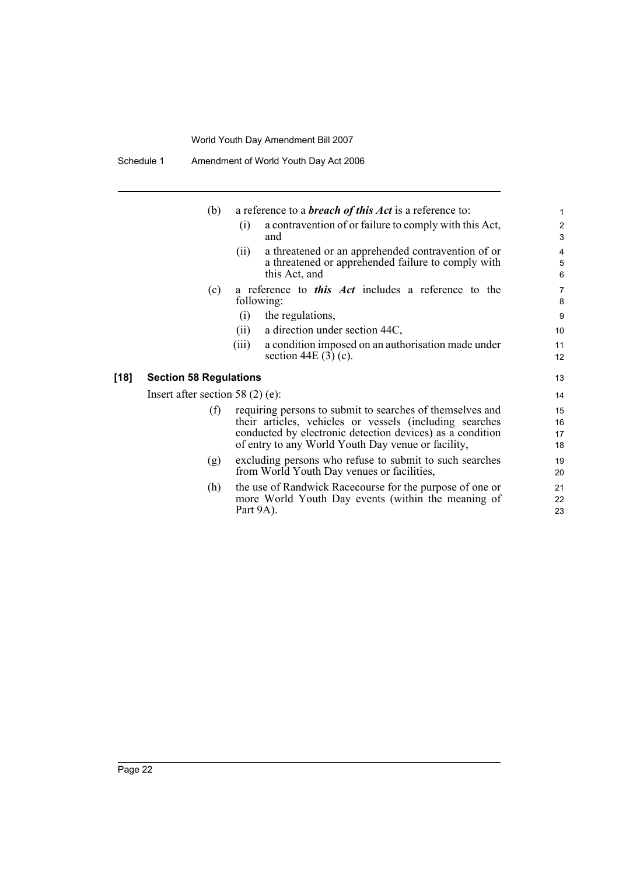Schedule 1 Amendment of World Youth Day Act 2006

|        | (b)                                | a reference to a <b>breach of this Act</b> is a reference to:        | $\mathbf{1}$                   |
|--------|------------------------------------|----------------------------------------------------------------------|--------------------------------|
|        |                                    | a contravention of or failure to comply with this Act,<br>(i)<br>and | $\mathbf{2}$<br>$\mathfrak{S}$ |
|        |                                    | a threatened or an apprehended contravention of or<br>(ii)           | 4                              |
|        |                                    | a threatened or apprehended failure to comply with                   | 5                              |
|        |                                    | this Act, and                                                        | 6                              |
|        | (c)                                | a reference to <i>this Act</i> includes a reference to the           | $\overline{7}$                 |
|        |                                    | following:                                                           | 8                              |
|        |                                    | the regulations,<br>(i)                                              | 9                              |
|        |                                    | a direction under section 44C,<br>(ii)                               | 10                             |
|        |                                    | a condition imposed on an authorisation made under<br>(iii)          | 11                             |
|        |                                    | section 44E $(3)$ (c).                                               | 12                             |
| $[18]$ | <b>Section 58 Regulations</b>      |                                                                      | 13                             |
|        | Insert after section 58 $(2)$ (e): |                                                                      | 14                             |
|        | (f)                                | requiring persons to submit to searches of themselves and            | 15                             |
|        |                                    | their articles, vehicles or vessels (including searches              | 16                             |
|        |                                    | conducted by electronic detection devices) as a condition            | 17                             |
|        |                                    | of entry to any World Youth Day venue or facility,                   | 18                             |
|        | (g)                                | excluding persons who refuse to submit to such searches              | 19                             |
|        |                                    | from World Youth Day venues or facilities,                           | 20                             |
|        | (h)                                | the use of Randwick Racecourse for the purpose of one or             | 21                             |
|        |                                    | more World Youth Day events (within the meaning of                   | 22                             |
|        |                                    | Part 9A).                                                            | 23                             |